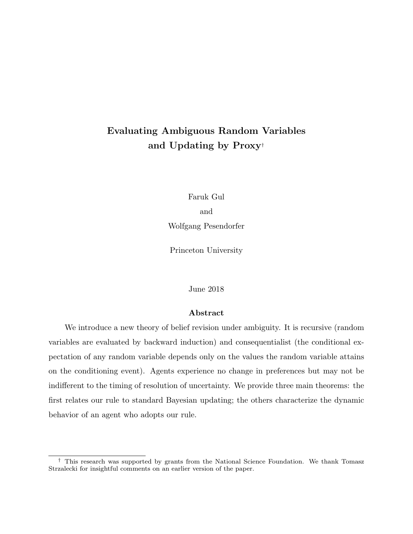# Evaluating Ambiguous Random Variables and Updating by Proxy†

Faruk Gul and Wolfgang Pesendorfer

Princeton University

June 2018

### Abstract

We introduce a new theory of belief revision under ambiguity. It is recursive (random variables are evaluated by backward induction) and consequentialist (the conditional expectation of any random variable depends only on the values the random variable attains on the conditioning event). Agents experience no change in preferences but may not be indifferent to the timing of resolution of uncertainty. We provide three main theorems: the first relates our rule to standard Bayesian updating; the others characterize the dynamic behavior of an agent who adopts our rule.

<sup>†</sup> This research was supported by grants from the National Science Foundation. We thank Tomasz Strzalecki for insightful comments on an earlier version of the paper.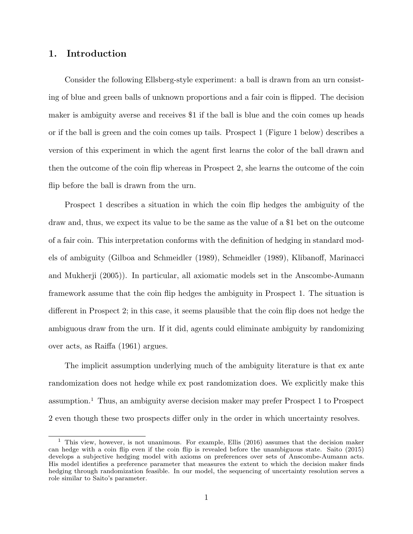# 1. Introduction

Consider the following Ellsberg-style experiment: a ball is drawn from an urn consisting of blue and green balls of unknown proportions and a fair coin is flipped. The decision maker is ambiguity averse and receives \$1 if the ball is blue and the coin comes up heads or if the ball is green and the coin comes up tails. Prospect 1 (Figure 1 below) describes a version of this experiment in which the agent first learns the color of the ball drawn and then the outcome of the coin flip whereas in Prospect 2, she learns the outcome of the coin flip before the ball is drawn from the urn.

Prospect 1 describes a situation in which the coin flip hedges the ambiguity of the draw and, thus, we expect its value to be the same as the value of a \$1 bet on the outcome of a fair coin. This interpretation conforms with the definition of hedging in standard models of ambiguity (Gilboa and Schmeidler (1989), Schmeidler (1989), Klibanoff, Marinacci and Mukherji (2005)). In particular, all axiomatic models set in the Anscombe-Aumann framework assume that the coin flip hedges the ambiguity in Prospect 1. The situation is different in Prospect 2; in this case, it seems plausible that the coin flip does not hedge the ambiguous draw from the urn. If it did, agents could eliminate ambiguity by randomizing over acts, as Raiffa (1961) argues.

The implicit assumption underlying much of the ambiguity literature is that ex ante randomization does not hedge while ex post randomization does. We explicitly make this assumption.<sup>1</sup> Thus, an ambiguity averse decision maker may prefer Prospect 1 to Prospect 2 even though these two prospects differ only in the order in which uncertainty resolves.

<sup>&</sup>lt;sup>1</sup> This view, however, is not unanimous. For example, Ellis (2016) assumes that the decision maker can hedge with a coin flip even if the coin flip is revealed before the unambiguous state. Saito (2015) develops a subjective hedging model with axioms on preferences over sets of Anscombe-Aumann acts. His model identifies a preference parameter that measures the extent to which the decision maker finds hedging through randomization feasible. In our model, the sequencing of uncertainty resolution serves a role similar to Saito's parameter.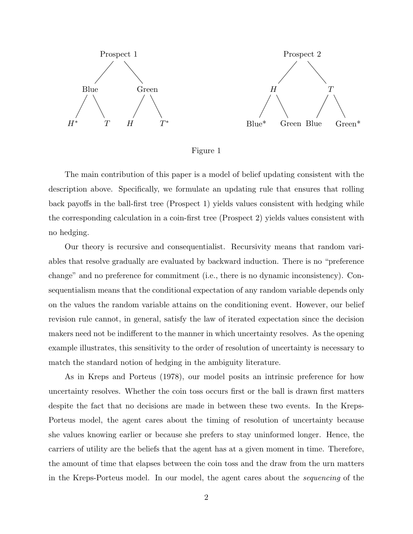

Figure 1

The main contribution of this paper is a model of belief updating consistent with the description above. Specifically, we formulate an updating rule that ensures that rolling back payoffs in the ball-first tree (Prospect 1) yields values consistent with hedging while the corresponding calculation in a coin-first tree (Prospect 2) yields values consistent with no hedging.

Our theory is recursive and consequentialist. Recursivity means that random variables that resolve gradually are evaluated by backward induction. There is no "preference change" and no preference for commitment (i.e., there is no dynamic inconsistency). Consequentialism means that the conditional expectation of any random variable depends only on the values the random variable attains on the conditioning event. However, our belief revision rule cannot, in general, satisfy the law of iterated expectation since the decision makers need not be indifferent to the manner in which uncertainty resolves. As the opening example illustrates, this sensitivity to the order of resolution of uncertainty is necessary to match the standard notion of hedging in the ambiguity literature.

As in Kreps and Porteus (1978), our model posits an intrinsic preference for how uncertainty resolves. Whether the coin toss occurs first or the ball is drawn first matters despite the fact that no decisions are made in between these two events. In the Kreps-Porteus model, the agent cares about the timing of resolution of uncertainty because she values knowing earlier or because she prefers to stay uninformed longer. Hence, the carriers of utility are the beliefs that the agent has at a given moment in time. Therefore, the amount of time that elapses between the coin toss and the draw from the urn matters in the Kreps-Porteus model. In our model, the agent cares about the sequencing of the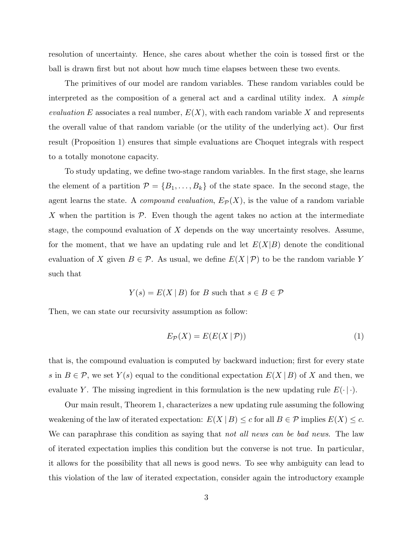resolution of uncertainty. Hence, she cares about whether the coin is tossed first or the ball is drawn first but not about how much time elapses between these two events.

The primitives of our model are random variables. These random variables could be interpreted as the composition of a general act and a cardinal utility index. A simple evaluation E associates a real number,  $E(X)$ , with each random variable X and represents the overall value of that random variable (or the utility of the underlying act). Our first result (Proposition 1) ensures that simple evaluations are Choquet integrals with respect to a totally monotone capacity.

To study updating, we define two-stage random variables. In the first stage, she learns the element of a partition  $\mathcal{P} = \{B_1, \ldots, B_k\}$  of the state space. In the second stage, the agent learns the state. A *compound evaluation*,  $E_{\mathcal{P}}(X)$ , is the value of a random variable X when the partition is  $\mathcal{P}$ . Even though the agent takes no action at the intermediate stage, the compound evaluation of  $X$  depends on the way uncertainty resolves. Assume, for the moment, that we have an updating rule and let  $E(X|B)$  denote the conditional evaluation of X given  $B \in \mathcal{P}$ . As usual, we define  $E(X | \mathcal{P})$  to be the random variable Y such that

$$
Y(s) = E(X | B)
$$
 for B such that  $s \in B \in \mathcal{P}$ 

Then, we can state our recursivity assumption as follow:

$$
E_{\mathcal{P}}(X) = E(E(X | \mathcal{P}))
$$
\n<sup>(1)</sup>

that is, the compound evaluation is computed by backward induction; first for every state s in  $B \in \mathcal{P}$ , we set  $Y(s)$  equal to the conditional expectation  $E(X | B)$  of X and then, we evaluate Y. The missing ingredient in this formulation is the new updating rule  $E(\cdot | \cdot)$ .

Our main result, Theorem 1, characterizes a new updating rule assuming the following weakening of the law of iterated expectation:  $E(X | B) \le c$  for all  $B \in \mathcal{P}$  implies  $E(X) \le c$ . We can paraphrase this condition as saying that not all news can be bad news. The law of iterated expectation implies this condition but the converse is not true. In particular, it allows for the possibility that all news is good news. To see why ambiguity can lead to this violation of the law of iterated expectation, consider again the introductory example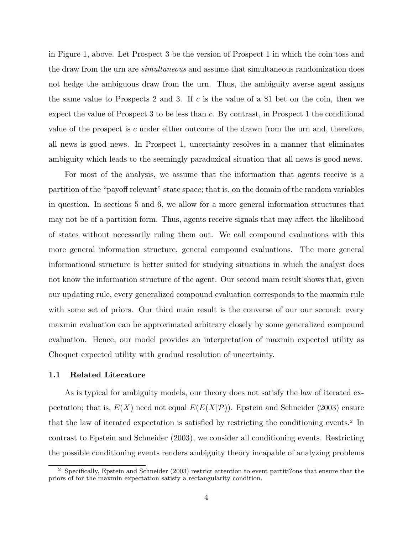in Figure 1, above. Let Prospect 3 be the version of Prospect 1 in which the coin toss and the draw from the urn are *simultaneous* and assume that simultaneous randomization does not hedge the ambiguous draw from the urn. Thus, the ambiguity averse agent assigns the same value to Prospects 2 and 3. If c is the value of a \$1 bet on the coin, then we expect the value of Prospect 3 to be less than c. By contrast, in Prospect 1 the conditional value of the prospect is c under either outcome of the drawn from the urn and, therefore, all news is good news. In Prospect 1, uncertainty resolves in a manner that eliminates ambiguity which leads to the seemingly paradoxical situation that all news is good news.

For most of the analysis, we assume that the information that agents receive is a partition of the "payoff relevant" state space; that is, on the domain of the random variables in question. In sections 5 and 6, we allow for a more general information structures that may not be of a partition form. Thus, agents receive signals that may affect the likelihood of states without necessarily ruling them out. We call compound evaluations with this more general information structure, general compound evaluations. The more general informational structure is better suited for studying situations in which the analyst does not know the information structure of the agent. Our second main result shows that, given our updating rule, every generalized compound evaluation corresponds to the maxmin rule with some set of priors. Our third main result is the converse of our our second: every maxmin evaluation can be approximated arbitrary closely by some generalized compound evaluation. Hence, our model provides an interpretation of maxmin expected utility as Choquet expected utility with gradual resolution of uncertainty.

#### 1.1 Related Literature

As is typical for ambiguity models, our theory does not satisfy the law of iterated expectation; that is,  $E(X)$  need not equal  $E(E(X|P))$ . Epstein and Schneider (2003) ensure that the law of iterated expectation is satisfied by restricting the conditioning events.<sup>2</sup> In contrast to Epstein and Schneider (2003), we consider all conditioning events. Restricting the possible conditioning events renders ambiguity theory incapable of analyzing problems

<sup>2</sup> Specifically, Epstein and Schneider (2003) restrict attention to event partiti?ons that ensure that the priors of for the maxmin expectation satisfy a rectangularity condition.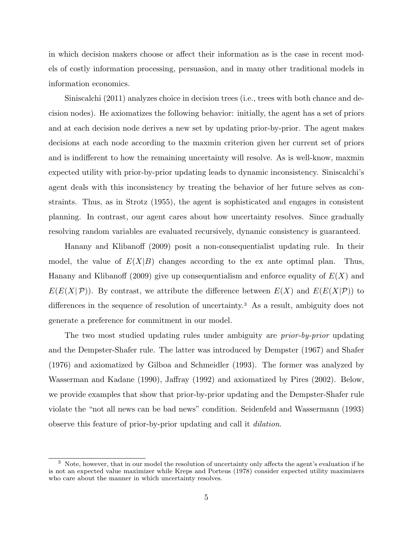in which decision makers choose or affect their information as is the case in recent models of costly information processing, persuasion, and in many other traditional models in information economics.

Siniscalchi (2011) analyzes choice in decision trees (i.e., trees with both chance and decision nodes). He axiomatizes the following behavior: initially, the agent has a set of priors and at each decision node derives a new set by updating prior-by-prior. The agent makes decisions at each node according to the maxmin criterion given her current set of priors and is indifferent to how the remaining uncertainty will resolve. As is well-know, maxmin expected utility with prior-by-prior updating leads to dynamic inconsistency. Siniscalchi's agent deals with this inconsistency by treating the behavior of her future selves as constraints. Thus, as in Strotz (1955), the agent is sophisticated and engages in consistent planning. In contrast, our agent cares about how uncertainty resolves. Since gradually resolving random variables are evaluated recursively, dynamic consistency is guaranteed.

Hanany and Klibanoff (2009) posit a non-consequentialist updating rule. In their model, the value of  $E(X|B)$  changes according to the ex ante optimal plan. Thus, Hanany and Klibanoff (2009) give up consequentialism and enforce equality of  $E(X)$  and  $E(E(X|\mathcal{P}))$ . By contrast, we attribute the difference between  $E(X)$  and  $E(E(X|\mathcal{P}))$  to differences in the sequence of resolution of uncertainty.<sup>3</sup> As a result, ambiguity does not generate a preference for commitment in our model.

The two most studied updating rules under ambiguity are *prior-by-prior* updating and the Dempster-Shafer rule. The latter was introduced by Dempster (1967) and Shafer (1976) and axiomatized by Gilboa and Schmeidler (1993). The former was analyzed by Wasserman and Kadane (1990), Jaffray (1992) and axiomatized by Pires (2002). Below, we provide examples that show that prior-by-prior updating and the Dempster-Shafer rule violate the "not all news can be bad news" condition. Seidenfeld and Wassermann (1993) observe this feature of prior-by-prior updating and call it dilation.

<sup>&</sup>lt;sup>3</sup> Note, however, that in our model the resolution of uncertainty only affects the agent's evaluation if he is not an expected value maximizer while Kreps and Porteus (1978) consider expected utility maximizers who care about the manner in which uncertainty resolves.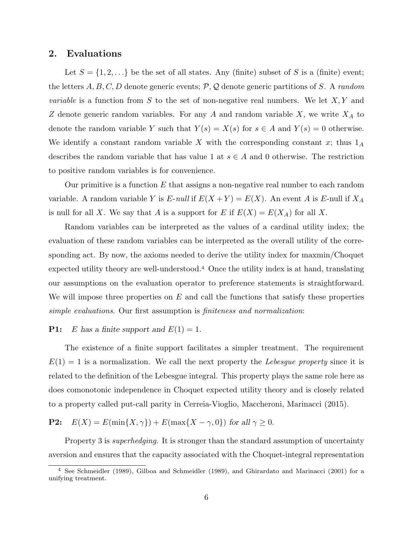### 2. Evaluations

Let  $S = \{1, 2, ...\}$  be the set of all states. Any (finite) subset of S is a (finite) event; the letters  $A, B, C, D$  denote generic events;  $P, Q$  denote generic partitions of S. A random *variable* is a function from S to the set of non-negative real numbers. We let  $X, Y$  and Z denote generic random variables. For any  $A$  and random variable  $X$ , we write  $X_A$  to denote the random variable Y such that  $Y(s) = X(s)$  for  $s \in A$  and  $Y(s) = 0$  otherwise. We identify a constant random variable  $X$  with the corresponding constant  $x$ ; thus  $1_A$ describes the random variable that has value 1 at  $s \in A$  and 0 otherwise. The restriction to positive random variables is for convenience.

Our primitive is a function  $E$  that assigns a non-negative real number to each random variable. A random variable Y is E-null if  $E(X+Y) = E(X)$ . An event A is E-null if  $X_A$ is null for all X. We say that A is a support for E if  $E(X) = E(X_A)$  for all X.

Random variables can be interpreted as the values of a cardinal utility index; the evaluation of these random variables can be interpreted as the overall utility of the corresponding act. By now, the axioms needed to derive the utility index for maxmin/Choquet expected utility theory are well-understood.<sup>4</sup> Once the utility index is at hand, translating our assumptions on the evaluation operator to preference statements is straightforward. We will impose three properties on  $E$  and call the functions that satisfy these properties simple evaluations. Our first assumption is finiteness and normalization:

### **P1:** E has a finite support and  $E(1) = 1$ .

The existence of a finite support facilitates a simpler treatment. The requirement  $E(1) = 1$  is a normalization. We call the next property the Lebesgue property since it is related to the definition of the Lebesgue integral. This property plays the same role here as does comonotonic independence in Choquet expected utility theory and is closely related to a property called put-call parity in Cerreia-Vioglio, Maccheroni, Marinacci (2015).

**P2:**  $E(X) = E(\min\{X, \gamma\}) + E(\max\{X - \gamma, 0\})$  for all  $\gamma \ge 0$ .

Property 3 is *superhedging*. It is stronger than the standard assumption of uncertainty aversion and ensures that the capacity associated with the Choquet-integral representation

<sup>4</sup> See Schmeidler (1989), Gilboa and Schmeidler (1989), and Ghirardato and Marinacci (2001) for a unifying treatment.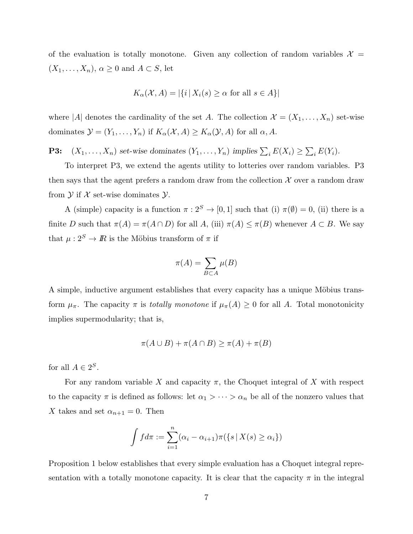of the evaluation is totally monotone. Given any collection of random variables  $\mathcal{X} =$  $(X_1, \ldots, X_n), \alpha \geq 0$  and  $A \subset S$ , let

$$
K_{\alpha}(\mathcal{X}, A) = |\{i \,|\, X_i(s) \ge \alpha \text{ for all } s \in A\}|
$$

where |A| denotes the cardinality of the set A. The collection  $\mathcal{X} = (X_1, \ldots, X_n)$  set-wise dominates  $\mathcal{Y} = (Y_1, \dots, Y_n)$  if  $K_\alpha(\mathcal{X}, A) \geq K_\alpha(\mathcal{Y}, A)$  for all  $\alpha, A$ .

**P3:**  $(X_1, \ldots, X_n)$  set-wise dominates  $(Y_1, \ldots, Y_n)$  implies  $\sum_i E(X_i) \ge \sum_i E(Y_i)$ .

To interpret P3, we extend the agents utility to lotteries over random variables. P3 then says that the agent prefers a random draw from the collection  $\mathcal X$  over a random draw from  $Y$  if  $X$  set-wise dominates  $Y$ .

A (simple) capacity is a function  $\pi : 2^S \to [0, 1]$  such that (i)  $\pi(\emptyset) = 0$ , (ii) there is a finite D such that  $\pi(A) = \pi(A \cap D)$  for all  $A$ , (iii)  $\pi(A) \leq \pi(B)$  whenever  $A \subset B$ . We say that  $\mu: 2^S \rightarrow I\!\!R$  is the Möbius transform of  $\pi$  if

$$
\pi(A) = \sum_{B \subset A} \mu(B)
$$

A simple, inductive argument establishes that every capacity has a unique Möbius transform  $\mu_{\pi}$ . The capacity  $\pi$  is *totally monotone* if  $\mu_{\pi}(A) \geq 0$  for all A. Total monotonicity implies supermodularity; that is,

$$
\pi(A \cup B) + \pi(A \cap B) \ge \pi(A) + \pi(B)
$$

for all  $A \in 2^S$ .

For any random variable X and capacity  $\pi$ , the Choquet integral of X with respect to the capacity  $\pi$  is defined as follows: let  $\alpha_1 > \cdots > \alpha_n$  be all of the nonzero values that X takes and set  $\alpha_{n+1} = 0$ . Then

$$
\int f d\pi := \sum_{i=1}^n (\alpha_i - \alpha_{i+1})\pi(\{s \mid X(s) \ge \alpha_i\})
$$

Proposition 1 below establishes that every simple evaluation has a Choquet integral representation with a totally monotone capacity. It is clear that the capacity  $\pi$  in the integral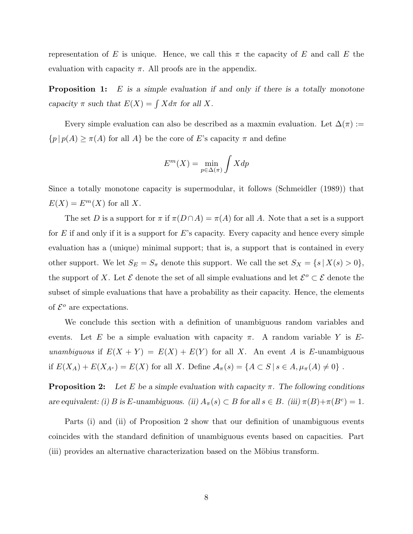representation of E is unique. Hence, we call this  $\pi$  the capacity of E and call E the evaluation with capacity  $\pi$ . All proofs are in the appendix.

**Proposition 1:** E is a simple evaluation if and only if there is a totally monotone capacity  $\pi$  such that  $E(X) = \int X d\pi$  for all X.

Every simple evaluation can also be described as a maxmin evaluation. Let  $\Delta(\pi) :=$  $\{p \, | \, p(A) \geq \pi(A) \text{ for all } A \}$  be the core of  $E$  's capacity  $\pi$  and define

$$
E^m(X) = \min_{p \in \Delta(\pi)} \int X dp
$$

Since a totally monotone capacity is supermodular, it follows (Schmeidler (1989)) that  $E(X) = E^{m}(X)$  for all X.

The set D is a support for  $\pi$  if  $\pi(D \cap A) = \pi(A)$  for all A. Note that a set is a support for  $E$  if and only if it is a support for  $E$ 's capacity. Every capacity and hence every simple evaluation has a (unique) minimal support; that is, a support that is contained in every other support. We let  $S_E = S_{\pi}$  denote this support. We call the set  $S_X = \{s | X(s) > 0\},\$ the support of X. Let  $\mathcal E$  denote the set of all simple evaluations and let  $\mathcal E^o \subset \mathcal E$  denote the subset of simple evaluations that have a probability as their capacity. Hence, the elements of  $\mathcal{E}^o$  are expectations.

We conclude this section with a definition of unambiguous random variables and events. Let E be a simple evaluation with capacity  $\pi$ . A random variable Y is Eunambiguous if  $E(X + Y) = E(X) + E(Y)$  for all X. An event A is E-unambiguous if  $E(X_A) + E(X_{A^c}) = E(X)$  for all X. Define  $A_{\pi}(s) = \{A \subset S \mid s \in A, \mu_{\pi}(A) \neq 0\}$ .

**Proposition 2:** Let E be a simple evaluation with capacity  $\pi$ . The following conditions are equivalent: (i) B is E-unambiguous. (ii)  $A_{\pi}(s) \subset B$  for all  $s \in B$ . (iii)  $\pi(B) + \pi(B^c) = 1$ .

Parts (i) and (ii) of Proposition 2 show that our definition of unambiguous events coincides with the standard definition of unambiguous events based on capacities. Part (iii) provides an alternative characterization based on the Möbius transform.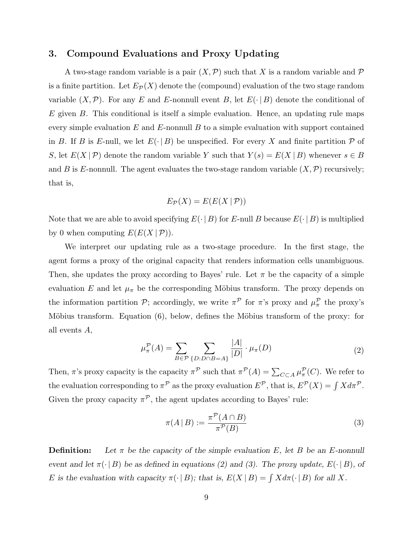### 3. Compound Evaluations and Proxy Updating

A two-stage random variable is a pair  $(X, \mathcal{P})$  such that X is a random variable and  $\mathcal P$ is a finite partition. Let  $E_{\mathcal{P}}(X)$  denote the (compound) evaluation of the two stage random variable  $(X, \mathcal{P})$ . For any E and E-nonnull event B, let  $E(\cdot | B)$  denote the conditional of  $E$  given  $B$ . This conditional is itself a simple evaluation. Hence, an updating rule maps every simple evaluation  $E$  and  $E$ -nonnull  $B$  to a simple evaluation with support contained in B. If B is E-null, we let  $E(\cdot | B)$  be unspecified. For every X and finite partition P of S, let  $E(X | \mathcal{P})$  denote the random variable Y such that  $Y(s) = E(X | B)$  whenever  $s \in B$ and B is E-nonnull. The agent evaluates the two-stage random variable  $(X,\mathcal{P})$  recursively; that is,

$$
E_{\mathcal{P}}(X) = E(E(X | \mathcal{P}))
$$

Note that we are able to avoid specifying  $E(\cdot | B)$  for E-null B because  $E(\cdot | B)$  is multiplied by 0 when computing  $E(E(X | P)).$ 

We interpret our updating rule as a two-stage procedure. In the first stage, the agent forms a proxy of the original capacity that renders information cells unambiguous. Then, she updates the proxy according to Bayes' rule. Let  $\pi$  be the capacity of a simple evaluation E and let  $\mu_{\pi}$  be the corresponding Möbius transform. The proxy depends on the information partition  $P$ ; accordingly, we write  $\pi^P$  for  $\pi$ 's proxy and  $\mu^P_\pi$  the proxy's Möbius transform. Equation  $(6)$ , below, defines the Möbius transform of the proxy: for all events A,

$$
\mu_{\pi}^{\mathcal{P}}(A) = \sum_{B \in \mathcal{P}} \sum_{\{D: D \cap B = A\}} \frac{|A|}{|D|} \cdot \mu_{\pi}(D) \tag{2}
$$

Then,  $\pi$ 's proxy capacity is the capacity  $\pi^{\mathcal{P}}$  such that  $\pi^{\mathcal{P}}(A) = \sum_{C \subset A} \mu_{\pi}^{\mathcal{P}}(C)$ . We refer to the evaluation corresponding to  $\pi^{\mathcal{P}}$  as the proxy evaluation  $E^{\mathcal{P}},$  that is,  $E^{\mathcal{P}}(X) = \int X d\pi^{\mathcal{P}}$ . Given the proxy capacity  $\pi^{\mathcal{P}}$ , the agent updates according to Bayes' rule:

$$
\pi(A \mid B) := \frac{\pi^{\mathcal{P}}(A \cap B)}{\pi^{\mathcal{P}}(B)}\tag{3}
$$

**Definition:** Let  $\pi$  be the capacity of the simple evaluation E, let B be an E-nonnull event and let  $\pi(\cdot | B)$  be as defined in equations (2) and (3). The proxy update,  $E(\cdot | B)$ , of E is the evaluation with capacity  $\pi(\cdot | B)$ ; that is,  $E(X | B) = \int X d\pi(\cdot | B)$  for all X.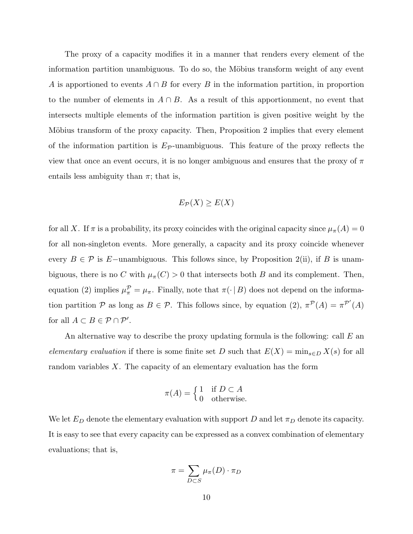The proxy of a capacity modifies it in a manner that renders every element of the information partition unambiguous. To do so, the Möbius transform weight of any event A is apportioned to events  $A \cap B$  for every B in the information partition, in proportion to the number of elements in  $A \cap B$ . As a result of this apportionment, no event that intersects multiple elements of the information partition is given positive weight by the Möbius transform of the proxy capacity. Then, Proposition 2 implies that every element of the information partition is  $E_{\mathcal{P}}$ -unambiguous. This feature of the proxy reflects the view that once an event occurs, it is no longer ambiguous and ensures that the proxy of  $\pi$ entails less ambiguity than  $\pi$ ; that is,

$$
E_{\mathcal{P}}(X) \ge E(X)
$$

for all X. If  $\pi$  is a probability, its proxy coincides with the original capacity since  $\mu_{\pi}(A) = 0$ for all non-singleton events. More generally, a capacity and its proxy coincide whenever every  $B \in \mathcal{P}$  is E−unambiguous. This follows since, by Proposition 2(ii), if B is unambiguous, there is no C with  $\mu_{\pi}(C) > 0$  that intersects both B and its complement. Then, equation (2) implies  $\mu_{\pi}^{\mathcal{P}} = \mu_{\pi}$ . Finally, note that  $\pi(\cdot | B)$  does not depend on the information partition P as long as  $B \in \mathcal{P}$ . This follows since, by equation (2),  $\pi^{\mathcal{P}}(A) = \pi^{\mathcal{P}'}(A)$ for all  $A \subset B \in \mathcal{P} \cap \mathcal{P}'$ .

An alternative way to describe the proxy updating formula is the following: call  $E$  an elementary evaluation if there is some finite set D such that  $E(X) = \min_{s \in D} X(s)$  for all random variables  $X$ . The capacity of an elementary evaluation has the form

$$
\pi(A) = \begin{cases} 1 & \text{if } D \subset A \\ 0 & \text{otherwise.} \end{cases}
$$

We let  $E_D$  denote the elementary evaluation with support D and let  $\pi_D$  denote its capacity. It is easy to see that every capacity can be expressed as a convex combination of elementary evaluations; that is,

$$
\pi = \sum_{D \subset S} \mu_{\pi}(D) \cdot \pi_D
$$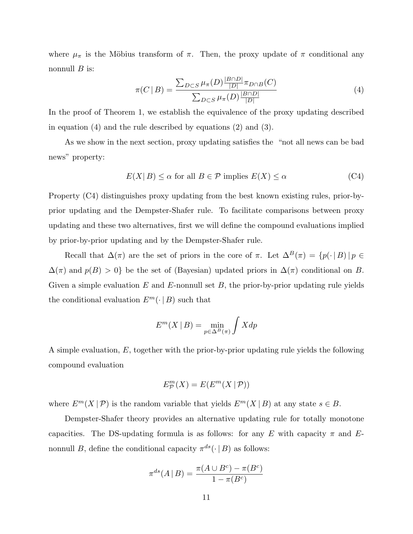where  $\mu_{\pi}$  is the Möbius transform of  $\pi$ . Then, the proxy update of  $\pi$  conditional any nonnull  $B$  is:

$$
\pi(C \mid B) = \frac{\sum_{D \subset S} \mu_{\pi}(D) \frac{|B \cap D|}{|D|} \pi_{D \cap B}(C)}{\sum_{D \subset S} \mu_{\pi}(D) \frac{|B \cap D|}{|D|}}
$$
(4)

In the proof of Theorem 1, we establish the equivalence of the proxy updating described in equation (4) and the rule described by equations (2) and (3).

As we show in the next section, proxy updating satisfies the "not all news can be bad news" property:

$$
E(X|B) \le \alpha \text{ for all } B \in \mathcal{P} \text{ implies } E(X) \le \alpha \tag{C4}
$$

Property (C4) distinguishes proxy updating from the best known existing rules, prior-byprior updating and the Dempster-Shafer rule. To facilitate comparisons between proxy updating and these two alternatives, first we will define the compound evaluations implied by prior-by-prior updating and by the Dempster-Shafer rule.

Recall that  $\Delta(\pi)$  are the set of priors in the core of  $\pi$ . Let  $\Delta^B(\pi) = \{p(\cdot | B) | p \in$  $\Delta(\pi)$  and  $p(B) > 0$ } be the set of (Bayesian) updated priors in  $\Delta(\pi)$  conditional on B. Given a simple evaluation  $E$  and  $E$ -nonnull set  $B$ , the prior-by-prior updating rule yields the conditional evaluation  $E^m(\cdot | B)$  such that

$$
E^m(X \mid B) = \min_{p \in \Delta^B(\pi)} \int X dp
$$

A simple evaluation, E, together with the prior-by-prior updating rule yields the following compound evaluation

$$
E_{\mathcal{P}}^{m}(X) = E(E^{m}(X | \mathcal{P}))
$$

where  $E^m(X | \mathcal{P})$  is the random variable that yields  $E^m(X | B)$  at any state  $s \in B$ .

Dempster-Shafer theory provides an alternative updating rule for totally monotone capacities. The DS-updating formula is as follows: for any E with capacity  $\pi$  and Enonnull B, define the conditional capacity  $\pi^{ds}(\cdot | B)$  as follows:

$$
\pi^{ds}(A \mid B) = \frac{\pi(A \cup B^c) - \pi(B^c)}{1 - \pi(B^c)}
$$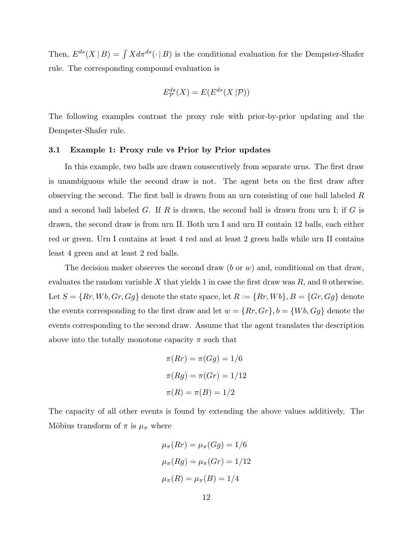Then,  $E^{ds}(X | B) = \int X d\pi^{ds}(\cdot | B)$  is the conditional evaluation for the Dempster-Shafer rule. The corresponding compound evaluation is

$$
E_{\mathcal{P}}^{ds}(X) = E(E^{ds}(X|\mathcal{P}))
$$

The following examples contrast the proxy rule with prior-by-prior updating and the Dempster-Shafer rule.

### 3.1 Example 1: Proxy rule vs Prior by Prior updates

In this example, two balls are drawn consecutively from separate urns. The first draw is unambiguous while the second draw is not. The agent bets on the first draw after observing the second. The first ball is drawn from an urn consisting of one ball labeled R and a second ball labeled G. If R is drawn, the second ball is drawn from urn I; if G is drawn, the second draw is from urn II. Both urn I and urn II contain 12 balls, each either red or green. Urn I contains at least 4 red and at least 2 green balls while urn II contains least 4 green and at least 2 red balls.

The decision maker observes the second draw (b or w) and, conditional on that draw, evaluates the random variable X that yields 1 in case the first draw was  $R$ , and 0 otherwise. Let  $S = \{Rr, Wb, Gr, Gg\}$  denote the state space, let  $R := \{Rr, Wb\}$ ,  $B = \{Gr, Gg\}$  denote the events corresponding to the first draw and let  $w = \{Rr, Gr\}$ ,  $b = \{Wb, Gg\}$  denote the events corresponding to the second draw. Assume that the agent translates the description above into the totally monotone capacity  $\pi$  such that

$$
\pi(Rr) = \pi(Gg) = 1/6
$$

$$
\pi(Rg) = \pi(Gr) = 1/12
$$

$$
\pi(R) = \pi(B) = 1/2
$$

The capacity of all other events is found by extending the above values additively. The Möbius transform of  $\pi$  is  $\mu_{\pi}$  where

$$
\mu_{\pi}(Rr) = \mu_{\pi}(Gg) = 1/6
$$
  

$$
\mu_{\pi}(Rg) = \mu_{\pi}(Gr) = 1/12
$$
  

$$
\mu_{\pi}(R) = \mu_{\pi}(B) = 1/4
$$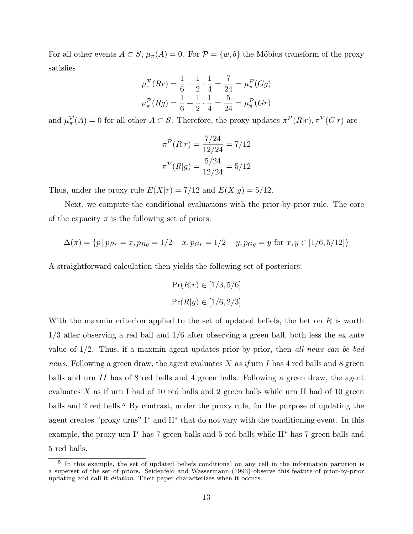For all other events  $A \subset S$ ,  $\mu_{\pi}(A) = 0$ . For  $\mathcal{P} = \{w, b\}$  the Möbius transform of the proxy satisfies

$$
\mu_{\pi}^{\mathcal{P}}(Rr) = \frac{1}{6} + \frac{1}{2} \cdot \frac{1}{4} = \frac{7}{24} = \mu_{\pi}^{\mathcal{P}}(Gg)
$$

$$
\mu_{\pi}^{\mathcal{P}}(Rg) = \frac{1}{6} + \frac{1}{2} \cdot \frac{1}{4} = \frac{5}{24} = \mu_{\pi}^{\mathcal{P}}(Gr)
$$

and  $\mu_{\pi}^{\mathcal{P}}(A) = 0$  for all other  $A \subset S$ . Therefore, the proxy updates  $\pi^{\mathcal{P}}(R|r), \pi^{\mathcal{P}}(G|r)$  are

$$
\pi^{\mathcal{P}}(R|r) = \frac{7/24}{12/24} = 7/12
$$

$$
\pi^{\mathcal{P}}(R|g) = \frac{5/24}{12/24} = 5/12
$$

Thus, under the proxy rule  $E(X|r) = 7/12$  and  $E(X|g) = 5/12$ .

Next, we compute the conditional evaluations with the prior-by-prior rule. The core of the capacity  $\pi$  is the following set of priors:

$$
\Delta(\pi) = \{ p | p_{Rr} = x, p_{Rg} = 1/2 - x, p_{Gr} = 1/2 - y, p_{Gg} = y \text{ for } x, y \in [1/6, 5/12] \}
$$

A straightforward calculation then yields the following set of posteriors:

$$
Pr(R|r) \in [1/3, 5/6]
$$

$$
Pr(R|g) \in [1/6, 2/3]
$$

With the maxmin criterion applied to the set of updated beliefs, the bet on  $R$  is worth 1/3 after observing a red ball and 1/6 after observing a green ball, both less the ex ante value of  $1/2$ . Thus, if a maxmin agent updates prior-by-prior, then all news can be bad news. Following a green draw, the agent evaluates X as if urn I has 4 red balls and 8 green balls and urn II has of 8 red balls and 4 green balls. Following a green draw, the agent evaluates  $X$  as if urn I had of 10 red balls and 2 green balls while urn II had of 10 green balls and 2 red balls.<sup>5</sup> By contrast, under the proxy rule, for the purpose of updating the agent creates "proxy urns" I<sup>∗</sup> and II<sup>∗</sup> that do not vary with the conditioning event. In this example, the proxy urn I<sup>∗</sup> has 7 green balls and 5 red balls while II<sup>∗</sup> has 7 green balls and 5 red balls.

<sup>&</sup>lt;sup>5</sup> In this example, the set of updated beliefs conditional on any cell in the information partition is a superset of the set of priors. Seidenfeld and Wassermann (1993) observe this feature of prior-by-prior updating and call it dilation. Their paper characterizes when it occurs.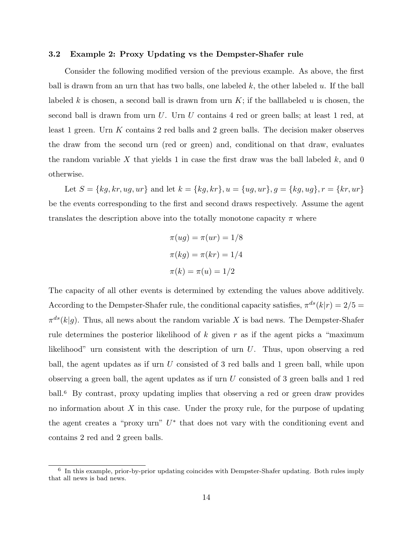#### 3.2 Example 2: Proxy Updating vs the Dempster-Shafer rule

Consider the following modified version of the previous example. As above, the first ball is drawn from an urn that has two balls, one labeled  $k$ , the other labeled  $u$ . If the ball labeled k is chosen, a second ball is drawn from urn  $K$ ; if the balllabeled u is chosen, the second ball is drawn from urn U. Urn U contains 4 red or green balls; at least 1 red, at least 1 green. Urn K contains 2 red balls and 2 green balls. The decision maker observes the draw from the second urn (red or green) and, conditional on that draw, evaluates the random variable X that yields 1 in case the first draw was the ball labeled  $k$ , and 0 otherwise.

Let  $S = \{kg, kr, ug, ur\}$  and let  $k = \{kg, kr\}$ ,  $u = \{ug, ur\}$ ,  $g = \{kg, ug\}$ ,  $r = \{kr, ur\}$ be the events corresponding to the first and second draws respectively. Assume the agent translates the description above into the totally monotone capacity  $\pi$  where

$$
\pi(ug) = \pi(ur) = 1/8
$$

$$
\pi(kg) = \pi(kr) = 1/4
$$

$$
\pi(k) = \pi(u) = 1/2
$$

The capacity of all other events is determined by extending the values above additively. According to the Dempster-Shafer rule, the conditional capacity satisfies,  $\pi^{ds}(k|r) = 2/5 =$  $\pi^{ds}(k|g)$ . Thus, all news about the random variable X is bad news. The Dempster-Shafer rule determines the posterior likelihood of  $k$  given  $r$  as if the agent picks a "maximum likelihood" urn consistent with the description of urn U. Thus, upon observing a red ball, the agent updates as if urn U consisted of 3 red balls and 1 green ball, while upon observing a green ball, the agent updates as if urn  $U$  consisted of 3 green balls and 1 red ball.<sup>6</sup> By contrast, proxy updating implies that observing a red or green draw provides no information about  $X$  in this case. Under the proxy rule, for the purpose of updating the agent creates a "proxy urn"  $U^*$  that does not vary with the conditioning event and contains 2 red and 2 green balls.

<sup>&</sup>lt;sup>6</sup> In this example, prior-by-prior updating coincides with Dempster-Shafer updating. Both rules imply that all news is bad news.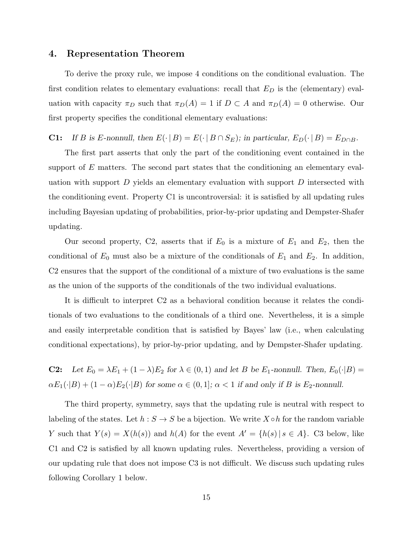### 4. Representation Theorem

To derive the proxy rule, we impose 4 conditions on the conditional evaluation. The first condition relates to elementary evaluations: recall that  $E_D$  is the (elementary) evaluation with capacity  $\pi_D$  such that  $\pi_D(A) = 1$  if  $D \subset A$  and  $\pi_D(A) = 0$  otherwise. Our first property specifies the conditional elementary evaluations:

**C1:** If B is E-nonnull, then  $E(\cdot | B) = E(\cdot | B \cap S_E)$ ; in particular,  $E_D(\cdot | B) = E_{D \cap B}$ .

The first part asserts that only the part of the conditioning event contained in the support of  $E$  matters. The second part states that the conditioning an elementary evaluation with support  $D$  yields an elementary evaluation with support  $D$  intersected with the conditioning event. Property C1 is uncontroversial: it is satisfied by all updating rules including Bayesian updating of probabilities, prior-by-prior updating and Dempster-Shafer updating.

Our second property, C2, asserts that if  $E_0$  is a mixture of  $E_1$  and  $E_2$ , then the conditional of  $E_0$  must also be a mixture of the conditionals of  $E_1$  and  $E_2$ . In addition, C2 ensures that the support of the conditional of a mixture of two evaluations is the same as the union of the supports of the conditionals of the two individual evaluations.

It is difficult to interpret C2 as a behavioral condition because it relates the conditionals of two evaluations to the conditionals of a third one. Nevertheless, it is a simple and easily interpretable condition that is satisfied by Bayes' law (i.e., when calculating conditional expectations), by prior-by-prior updating, and by Dempster-Shafer updating.

**C2:** Let  $E_0 = \lambda E_1 + (1 - \lambda)E_2$  for  $\lambda \in (0, 1)$  and let B be  $E_1$ -nonnull. Then,  $E_0(\cdot | B)$  =  $\alpha E_1(\cdot|B) + (1-\alpha)E_2(\cdot|B)$  for some  $\alpha \in (0,1]$ ;  $\alpha < 1$  if and only if B is E<sub>2</sub>-nonnull.

The third property, symmetry, says that the updating rule is neutral with respect to labeling of the states. Let  $h : S \to S$  be a bijection. We write  $X \circ h$  for the random variable Y such that  $Y(s) = X(h(s))$  and  $h(A)$  for the event  $A' = \{h(s) | s \in A\}$ . C3 below, like C1 and C2 is satisfied by all known updating rules. Nevertheless, providing a version of our updating rule that does not impose C3 is not difficult. We discuss such updating rules following Corollary 1 below.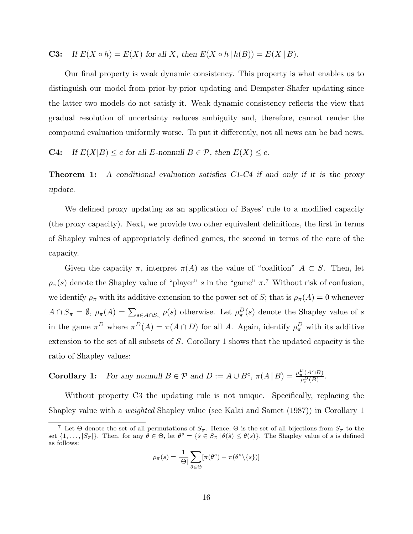**C3:** If  $E(X \circ h) = E(X)$  for all X, then  $E(X \circ h \mid h(B)) = E(X \mid B)$ .

Our final property is weak dynamic consistency. This property is what enables us to distinguish our model from prior-by-prior updating and Dempster-Shafer updating since the latter two models do not satisfy it. Weak dynamic consistency reflects the view that gradual resolution of uncertainty reduces ambiguity and, therefore, cannot render the compound evaluation uniformly worse. To put it differently, not all news can be bad news.

**C4:** If  $E(X|B) \leq c$  for all E-nonnull  $B \in \mathcal{P}$ , then  $E(X) \leq c$ .

**Theorem 1:** A conditional evaluation satisfies C1-C4 if and only if it is the proxy update.

We defined proxy updating as an application of Bayes' rule to a modified capacity (the proxy capacity). Next, we provide two other equivalent definitions, the first in terms of Shapley values of appropriately defined games, the second in terms of the core of the capacity.

Given the capacity  $\pi$ , interpret  $\pi(A)$  as the value of "coalition"  $A \subset S$ . Then, let  $\rho_{\pi}(s)$  denote the Shapley value of "player" s in the "game"  $\pi$ .<sup>7</sup> Without risk of confusion, we identify  $\rho_{\pi}$  with its additive extension to the power set of S; that is  $\rho_{\pi}(A) = 0$  whenever  $A \cap S_{\pi} = \emptyset$ ,  $\rho_{\pi}(A) = \sum_{s \in A \cap S_{\pi}} \rho(s)$  otherwise. Let  $\rho_{\pi}^{D}(s)$  denote the Shapley value of s in the game  $\pi^D$  where  $\pi^D(A) = \pi(A \cap D)$  for all A. Again, identify  $\rho_{\pi}^D$  with its additive extension to the set of all subsets of S. Corollary 1 shows that the updated capacity is the ratio of Shapley values:

**Corollary 1:** For any nonnull  $B \in \mathcal{P}$  and  $D := A \cup B^c$ ,  $\pi(A \mid B) = \frac{\rho_{\pi}^D(A \cap B)}{\rho_D(B)}$  $\frac{\pi}{\rho_{\pi}^D(B)}$ .

Without property C3 the updating rule is not unique. Specifically, replacing the Shapley value with a weighted Shapley value (see Kalai and Samet (1987)) in Corollary 1

$$
\rho_{\pi}(s) = \frac{1}{|\Theta|} \sum_{\theta \in \Theta} [\pi(\theta^{s}) - \pi(\theta^{s} \setminus \{s\})]
$$

<sup>&</sup>lt;sup>7</sup> Let  $\Theta$  denote the set of all permutations of  $S_{\pi}$ . Hence,  $\Theta$  is the set of all bijections from  $S_{\pi}$  to the set  $\{1,\ldots,|S_{\pi}|\}$ . Then, for any  $\theta \in \Theta$ , let  $\theta^{s} = \{\hat{s} \in S_{\pi} | \theta(\hat{s}) \leq \theta(s)\}\$ . The Shapley value of s is defined as follows: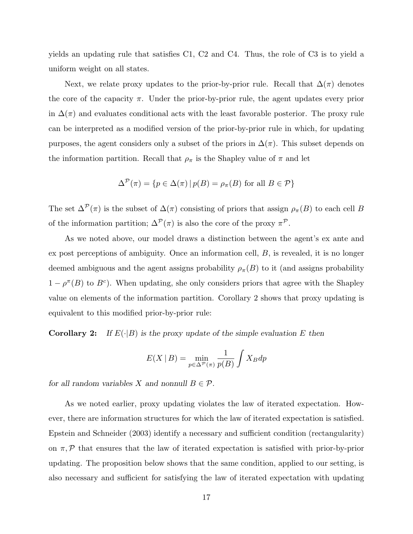yields an updating rule that satisfies C1, C2 and C4. Thus, the role of C3 is to yield a uniform weight on all states.

Next, we relate proxy updates to the prior-by-prior rule. Recall that  $\Delta(\pi)$  denotes the core of the capacity  $\pi$ . Under the prior-by-prior rule, the agent updates every prior in  $\Delta(\pi)$  and evaluates conditional acts with the least favorable posterior. The proxy rule can be interpreted as a modified version of the prior-by-prior rule in which, for updating purposes, the agent considers only a subset of the priors in  $\Delta(\pi)$ . This subset depends on the information partition. Recall that  $\rho_{\pi}$  is the Shapley value of  $\pi$  and let

$$
\Delta^{\mathcal{P}}(\pi) = \{ p \in \Delta(\pi) \, | \, p(B) = \rho_{\pi}(B) \text{ for all } B \in \mathcal{P} \}
$$

The set  $\Delta^{\mathcal{P}}(\pi)$  is the subset of  $\Delta(\pi)$  consisting of priors that assign  $\rho_{\pi}(B)$  to each cell B of the information partition;  $\Delta^{\mathcal{P}}(\pi)$  is also the core of the proxy  $\pi^{\mathcal{P}}$ .

As we noted above, our model draws a distinction between the agent's ex ante and ex post perceptions of ambiguity. Once an information cell, B, is revealed, it is no longer deemed ambiguous and the agent assigns probability  $\rho_{\pi}(B)$  to it (and assigns probability  $1 - \rho^{\pi}(B)$  to  $B^c$ ). When updating, she only considers priors that agree with the Shapley value on elements of the information partition. Corollary 2 shows that proxy updating is equivalent to this modified prior-by-prior rule:

**Corollary 2:** If  $E(\cdot|B)$  is the proxy update of the simple evaluation E then

$$
E(X | B) = \min_{p \in \Delta^{\mathcal{P}}(\pi)} \frac{1}{p(B)} \int X_B dp
$$

for all random variables X and nonnull  $B \in \mathcal{P}$ .

As we noted earlier, proxy updating violates the law of iterated expectation. However, there are information structures for which the law of iterated expectation is satisfied. Epstein and Schneider (2003) identify a necessary and sufficient condition (rectangularity) on  $\pi$ ,  $\mathcal P$  that ensures that the law of iterated expectation is satisfied with prior-by-prior updating. The proposition below shows that the same condition, applied to our setting, is also necessary and sufficient for satisfying the law of iterated expectation with updating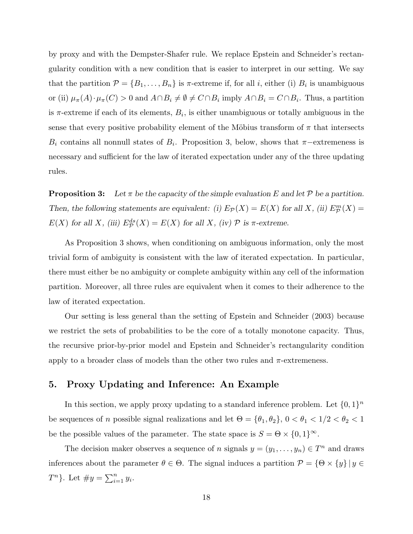by proxy and with the Dempster-Shafer rule. We replace Epstein and Schneider's rectangularity condition with a new condition that is easier to interpret in our setting. We say that the partition  $\mathcal{P} = \{B_1, \ldots, B_n\}$  is  $\pi$ -extreme if, for all *i*, either (i)  $B_i$  is unambiguous or (ii)  $\mu_{\pi}(A) \cdot \mu_{\pi}(C) > 0$  and  $A \cap B_i \neq \emptyset \neq C \cap B_i$  imply  $A \cap B_i = C \cap B_i$ . Thus, a partition is  $\pi$ -extreme if each of its elements,  $B_i$ , is either unambiguous or totally ambiguous in the sense that every positive probability element of the Möbius transform of  $\pi$  that intersects  $B_i$  contains all nonnull states of  $B_i$ . Proposition 3, below, shows that  $\pi$ -extremeness is necessary and sufficient for the law of iterated expectation under any of the three updating rules.

**Proposition 3:** Let  $\pi$  be the capacity of the simple evaluation E and let P be a partition. Then, the following statements are equivalent: (i)  $E_{\mathcal{P}}(X) = E(X)$  for all X, (ii)  $E_{\mathcal{P}}^m(X) =$  $E(X)$  for all X, (iii)  $E^{ds}_{\mathcal{P}}(X) = E(X)$  for all X, (iv)  $\mathcal P$  is  $\pi$ -extreme.

As Proposition 3 shows, when conditioning on ambiguous information, only the most trivial form of ambiguity is consistent with the law of iterated expectation. In particular, there must either be no ambiguity or complete ambiguity within any cell of the information partition. Moreover, all three rules are equivalent when it comes to their adherence to the law of iterated expectation.

Our setting is less general than the setting of Epstein and Schneider (2003) because we restrict the sets of probabilities to be the core of a totally monotone capacity. Thus, the recursive prior-by-prior model and Epstein and Schneider's rectangularity condition apply to a broader class of models than the other two rules and  $\pi$ -extremeness.

## 5. Proxy Updating and Inference: An Example

In this section, we apply proxy updating to a standard inference problem. Let  $\{0,1\}^n$ be sequences of n possible signal realizations and let  $\Theta = {\theta_1, \theta_2}, 0 < \theta_1 < 1/2 < \theta_2 < 1$ be the possible values of the parameter. The state space is  $S = \Theta \times \{0,1\}^{\infty}$ .

The decision maker observes a sequence of n signals  $y = (y_1, \ldots, y_n) \in T^n$  and draws inferences about the parameter  $\theta \in \Theta$ . The signal induces a partition  $\mathcal{P} = \{ \Theta \times \{y\} \mid y \in \Theta\}$  $T^n$ }. Let  $\#y = \sum_{i=1}^n y_i$ .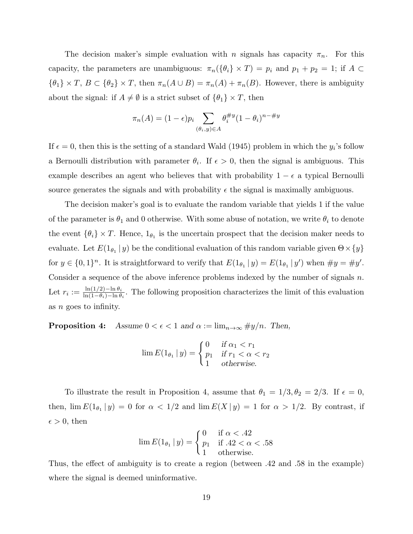The decision maker's simple evaluation with n signals has capacity  $\pi_n$ . For this capacity, the parameters are unambiguous:  $\pi_n(\{\theta_i\} \times T) = p_i$  and  $p_1 + p_2 = 1$ ; if  $A \subset$  ${\theta_1} \times T$ ,  $B \subset {\theta_2} \times T$ , then  $\pi_n(A \cup B) = \pi_n(A) + \pi_n(B)$ . However, there is ambiguity about the signal: if  $A \neq \emptyset$  is a strict subset of  $\{\theta_1\} \times T$ , then

$$
\pi_n(A) = (1 - \epsilon)p_i \sum_{(\theta_i, y) \in A} \theta_i^{\#y} (1 - \theta_i)^{n - \#y}
$$

If  $\epsilon = 0$ , then this is the setting of a standard Wald (1945) problem in which the  $y_i$ 's follow a Bernoulli distribution with parameter  $\theta_i$ . If  $\epsilon > 0$ , then the signal is ambiguous. This example describes an agent who believes that with probability  $1 - \epsilon$  a typical Bernoulli source generates the signals and with probability  $\epsilon$  the signal is maximally ambiguous.

The decision maker's goal is to evaluate the random variable that yields 1 if the value of the parameter is  $\theta_1$  and 0 otherwise. With some abuse of notation, we write  $\theta_i$  to denote the event  $\{\theta_i\} \times T$ . Hence,  $1_{\theta_1}$  is the uncertain prospect that the decision maker needs to evaluate. Let  $E(1_{\theta_1}|y)$  be the conditional evaluation of this random variable given  $\Theta \times \{y\}$ for  $y \in \{0,1\}^n$ . It is straightforward to verify that  $E(1_{\theta_1} | y) = E(1_{\theta_1} | y')$  when  $\#y = \#y'$ . Consider a sequence of the above inference problems indexed by the number of signals n. Let  $r_i := \frac{\ln(1/2) - \ln \theta_i}{\ln(1 - \theta_i) - \ln \theta_i}$  $\frac{\ln(1/2)-\ln \theta_i}{\ln(1-\theta_i)-\ln \theta_i}$ . The following proposition characterizes the limit of this evaluation as n goes to infinity.

**Proposition 4:** Assume  $0 < \epsilon < 1$  and  $\alpha := \lim_{n \to \infty} \#y/n$ . Then,

$$
\lim E(1_{\theta_1} | y) = \begin{cases} 0 & \text{if } \alpha_1 < r_1 \\ p_1 & \text{if } r_1 < \alpha < r_2 \\ 1 & \text{otherwise.} \end{cases}
$$

To illustrate the result in Proposition 4, assume that  $\theta_1 = 1/3, \theta_2 = 2/3$ . If  $\epsilon = 0$ , then,  $\lim E(1_{\theta_1} | y) = 0$  for  $\alpha < 1/2$  and  $\lim E(X | y) = 1$  for  $\alpha > 1/2$ . By contrast, if  $\epsilon > 0$ , then

$$
\lim E(1_{\theta_1} | y) = \begin{cases} 0 & \text{if } \alpha < .42 \\ p_1 & \text{if } .42 < \alpha < .58 \\ 1 & \text{otherwise.} \end{cases}
$$

Thus, the effect of ambiguity is to create a region (between .42 and .58 in the example) where the signal is deemed uninformative.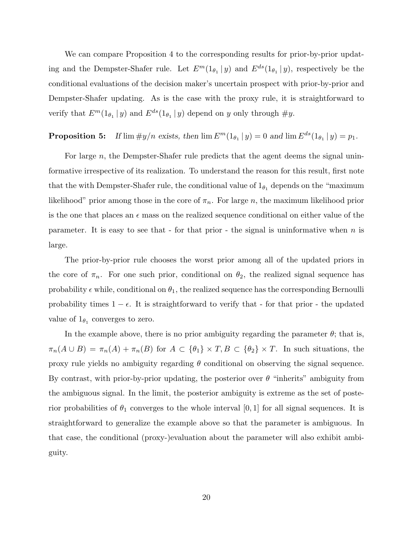We can compare Proposition 4 to the corresponding results for prior-by-prior updating and the Dempster-Shafer rule. Let  $E^m(1_{\theta_1}|y)$  and  $E^{ds}(1_{\theta_1}|y)$ , respectively be the conditional evaluations of the decision maker's uncertain prospect with prior-by-prior and Dempster-Shafer updating. As is the case with the proxy rule, it is straightforward to verify that  $E^m(1_{\theta_1}|y)$  and  $E^{ds}(1_{\theta_1}|y)$  depend on y only through  $\#y$ .

# **Proposition 5:** If  $\lim \#y/n$  exists, then  $\lim E^{m}(1_{\theta_{1}} | y) = 0$  and  $\lim E^{ds}(1_{\theta_{1}} | y) = p_{1}$ .

For large  $n$ , the Dempster-Shafer rule predicts that the agent deems the signal uninformative irrespective of its realization. To understand the reason for this result, first note that the with Dempster-Shafer rule, the conditional value of  $1_{\theta_1}$  depends on the "maximum" likelihood" prior among those in the core of  $\pi_n$ . For large n, the maximum likelihood prior is the one that places an  $\epsilon$  mass on the realized sequence conditional on either value of the parameter. It is easy to see that - for that prior - the signal is uninformative when  $n$  is large.

The prior-by-prior rule chooses the worst prior among all of the updated priors in the core of  $\pi_n$ . For one such prior, conditional on  $\theta_2$ , the realized signal sequence has probability  $\epsilon$  while, conditional on  $\theta_1$ , the realized sequence has the corresponding Bernoulli probability times  $1 - \epsilon$ . It is straightforward to verify that - for that prior - the updated value of  $1_{\theta_1}$  converges to zero.

In the example above, there is no prior ambiguity regarding the parameter  $\theta$ ; that is,  $\pi_n(A \cup B) = \pi_n(A) + \pi_n(B)$  for  $A \subset {\theta_1} \times T, B \subset {\theta_2} \times T$ . In such situations, the proxy rule yields no ambiguity regarding  $\theta$  conditional on observing the signal sequence. By contrast, with prior-by-prior updating, the posterior over  $\theta$  "inherits" ambiguity from the ambiguous signal. In the limit, the posterior ambiguity is extreme as the set of posterior probabilities of  $\theta_1$  converges to the whole interval [0, 1] for all signal sequences. It is straightforward to generalize the example above so that the parameter is ambiguous. In that case, the conditional (proxy-)evaluation about the parameter will also exhibit ambiguity.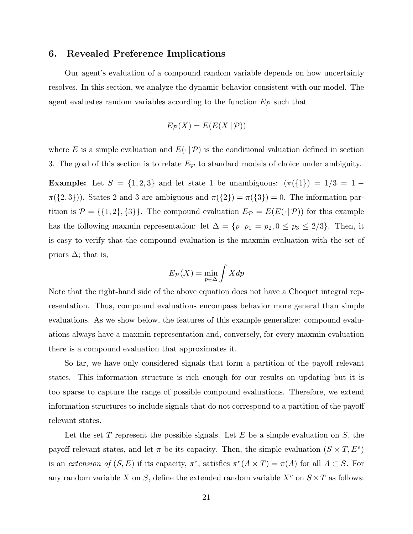### 6. Revealed Preference Implications

Our agent's evaluation of a compound random variable depends on how uncertainty resolves. In this section, we analyze the dynamic behavior consistent with our model. The agent evaluates random variables according to the function  $E_{\mathcal{P}}$  such that

$$
E_{\mathcal{P}}(X) = E(E(X | \mathcal{P}))
$$

where E is a simple evaluation and  $E(\cdot | \mathcal{P})$  is the conditional valuation defined in section 3. The goal of this section is to relate  $E_{\mathcal{P}}$  to standard models of choice under ambiguity.

**Example:** Let  $S = \{1, 2, 3\}$  and let state 1 be unambiguous:  $(\pi(\{1\}) = 1/3 = 1 - \{1\})$  $\pi({2,3})$ ). States 2 and 3 are ambiguous and  $\pi({2}) = \pi({3}) = 0$ . The information partition is  $P = \{\{1, 2\}, \{3\}\}\.$  The compound evaluation  $E_{\mathcal{P}} = E(E(\cdot | \mathcal{P}))$  for this example has the following maxmin representation: let  $\Delta = \{p | p_1 = p_2, 0 \le p_3 \le 2/3\}$ . Then, it is easy to verify that the compound evaluation is the maxmin evaluation with the set of priors  $\Delta$ ; that is,

$$
E_{\mathcal{P}}(X) = \min_{p \in \Delta} \int X dp
$$

Note that the right-hand side of the above equation does not have a Choquet integral representation. Thus, compound evaluations encompass behavior more general than simple evaluations. As we show below, the features of this example generalize: compound evaluations always have a maxmin representation and, conversely, for every maxmin evaluation there is a compound evaluation that approximates it.

So far, we have only considered signals that form a partition of the payoff relevant states. This information structure is rich enough for our results on updating but it is too sparse to capture the range of possible compound evaluations. Therefore, we extend information structures to include signals that do not correspond to a partition of the payoff relevant states.

Let the set T represent the possible signals. Let  $E$  be a simple evaluation on  $S$ , the payoff relevant states, and let  $\pi$  be its capacity. Then, the simple evaluation  $(S \times T, E^e)$ is an extension of  $(S, E)$  if its capacity,  $\pi^e$ , satisfies  $\pi^e(A \times T) = \pi(A)$  for all  $A \subset S$ . For any random variable X on S, define the extended random variable  $X^e$  on  $S \times T$  as follows: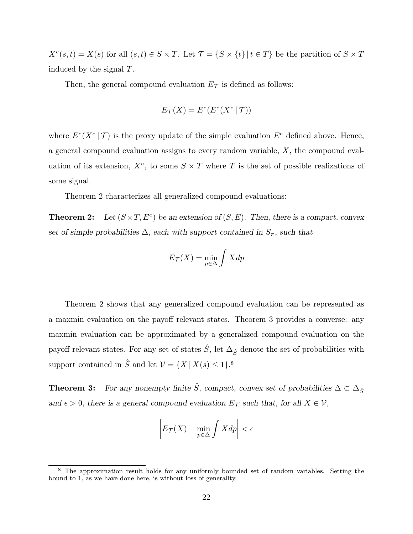$X^{e}(s,t) = X(s)$  for all  $(s,t) \in S \times T$ . Let  $\mathcal{T} = \{S \times \{t\} | t \in T\}$  be the partition of  $S \times T$ induced by the signal T.

Then, the general compound evaluation  $E_{\mathcal{T}}$  is defined as follows:

$$
E_{\mathcal{T}}(X) = E^e(E^e(X^e | \mathcal{T}))
$$

where  $E^e(X^e | \mathcal{T})$  is the proxy update of the simple evaluation  $E^e$  defined above. Hence, a general compound evaluation assigns to every random variable, X, the compound evaluation of its extension,  $X^e$ , to some  $S \times T$  where T is the set of possible realizations of some signal.

Theorem 2 characterizes all generalized compound evaluations:

**Theorem 2:** Let  $(S \times T, E^e)$  be an extension of  $(S, E)$ . Then, there is a compact, convex set of simple probabilities  $\Delta$ , each with support contained in  $S_{\pi}$ , such that

$$
E_{\mathcal{T}}(X) = \min_{p \in \Delta} \int X dp
$$

Theorem 2 shows that any generalized compound evaluation can be represented as a maxmin evaluation on the payoff relevant states. Theorem 3 provides a converse: any maxmin evaluation can be approximated by a generalized compound evaluation on the payoff relevant states. For any set of states  $\hat{S}$ , let  $\Delta_{\hat{S}}$  denote the set of probabilities with support contained in  $\hat{S}$  and let  $\mathcal{V} = \{X \mid X(s) \leq 1\}$ .<sup>8</sup>

**Theorem 3:** For any nonempty finite  $\hat{S}$ , compact, convex set of probabilities  $\Delta \subset \Delta_{\hat{S}}$ and  $\epsilon > 0$ , there is a general compound evaluation  $E_{\mathcal{T}}$  such that, for all  $X \in \mathcal{V}$ ,

$$
\left| E_{\mathcal{T}}(X) - \min_{p \in \Delta} \int X dp \right| < \epsilon
$$

<sup>&</sup>lt;sup>8</sup> The approximation result holds for any uniformly bounded set of random variables. Setting the bound to 1, as we have done here, is without loss of generality.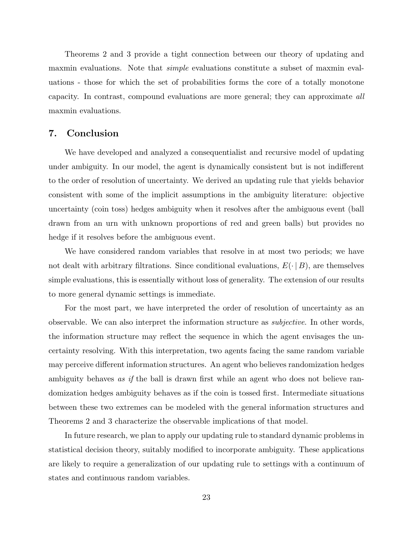Theorems 2 and 3 provide a tight connection between our theory of updating and maxmin evaluations. Note that *simple* evaluations constitute a subset of maxmin evaluations - those for which the set of probabilities forms the core of a totally monotone capacity. In contrast, compound evaluations are more general; they can approximate all maxmin evaluations.

# 7. Conclusion

We have developed and analyzed a consequentialist and recursive model of updating under ambiguity. In our model, the agent is dynamically consistent but is not indifferent to the order of resolution of uncertainty. We derived an updating rule that yields behavior consistent with some of the implicit assumptions in the ambiguity literature: objective uncertainty (coin toss) hedges ambiguity when it resolves after the ambiguous event (ball drawn from an urn with unknown proportions of red and green balls) but provides no hedge if it resolves before the ambiguous event.

We have considered random variables that resolve in at most two periods; we have not dealt with arbitrary filtrations. Since conditional evaluations,  $E(\cdot | B)$ , are themselves simple evaluations, this is essentially without loss of generality. The extension of our results to more general dynamic settings is immediate.

For the most part, we have interpreted the order of resolution of uncertainty as an observable. We can also interpret the information structure as subjective. In other words, the information structure may reflect the sequence in which the agent envisages the uncertainty resolving. With this interpretation, two agents facing the same random variable may perceive different information structures. An agent who believes randomization hedges ambiguity behaves as if the ball is drawn first while an agent who does not believe randomization hedges ambiguity behaves as if the coin is tossed first. Intermediate situations between these two extremes can be modeled with the general information structures and Theorems 2 and 3 characterize the observable implications of that model.

In future research, we plan to apply our updating rule to standard dynamic problems in statistical decision theory, suitably modified to incorporate ambiguity. These applications are likely to require a generalization of our updating rule to settings with a continuum of states and continuous random variables.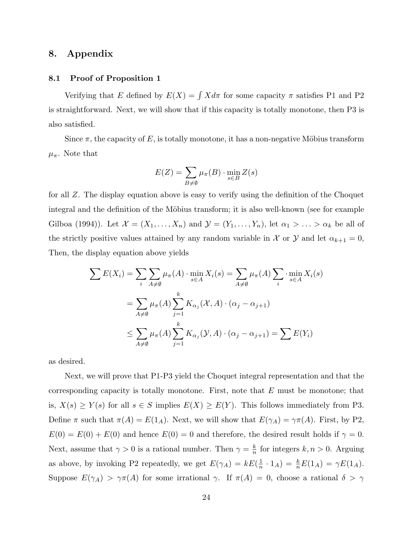# 8. Appendix

### 8.1 Proof of Proposition 1

Verifying that E defined by  $E(X) = \int X d\pi$  for some capacity  $\pi$  satisfies P1 and P2 is straightforward. Next, we will show that if this capacity is totally monotone, then P3 is also satisfied.

Since  $\pi$ , the capacity of E, is totally monotone, it has a non-negative Möbius transform  $\mu_{\pi}$ . Note that

$$
E(Z) = \sum_{B \neq \emptyset} \mu_{\pi}(B) \cdot \min_{s \in B} Z(s)
$$

for all Z. The display equation above is easy to verify using the definition of the Choquet integral and the definition of the Möbius transform; it is also well-known (see for example Gilboa (1994)). Let  $\mathcal{X} = (X_1, \ldots, X_n)$  and  $\mathcal{Y} = (Y_1, \ldots, Y_n)$ , let  $\alpha_1 > \ldots > \alpha_k$  be all of the strictly positive values attained by any random variable in X or Y and let  $\alpha_{k+1} = 0$ , Then, the display equation above yields

$$
\sum E(X_i) = \sum_i \sum_{A \neq \emptyset} \mu_{\pi}(A) \cdot \min_{s \in A} X_i(s) = \sum_{A \neq \emptyset} \mu_{\pi}(A) \sum_i \cdot \min_{s \in A} X_i(s)
$$

$$
= \sum_{A \neq \emptyset} \mu_{\pi}(A) \sum_{j=1}^k K_{\alpha_j}(\mathcal{X}, A) \cdot (\alpha_j - \alpha_{j+1})
$$

$$
\leq \sum_{A \neq \emptyset} \mu_{\pi}(A) \sum_{j=1}^k K_{\alpha_j}(\mathcal{Y}, A) \cdot (\alpha_j - \alpha_{j+1}) = \sum E(Y_i)
$$

as desired.

Next, we will prove that P1-P3 yield the Choquet integral representation and that the corresponding capacity is totally monotone. First, note that  $E$  must be monotone; that is,  $X(s) \geq Y(s)$  for all  $s \in S$  implies  $E(X) \geq E(Y)$ . This follows immediately from P3. Define  $\pi$  such that  $\pi(A) = E(1_A)$ . Next, we will show that  $E(\gamma_A) = \gamma \pi(A)$ . First, by P2,  $E(0) = E(0) + E(0)$  and hence  $E(0) = 0$  and therefore, the desired result holds if  $\gamma = 0$ . Next, assume that  $\gamma > 0$  is a rational number. Then  $\gamma = \frac{k}{n}$  $\frac{k}{n}$  for integers  $k, n > 0$ . Arguing as above, by invoking P2 repeatedly, we get  $E(\gamma_A) = kE(\frac{1}{n})$  $\frac{1}{n} \cdot 1_A$ ) =  $\frac{k}{n} E(1_A) = \gamma E(1_A)$ . Suppose  $E(\gamma_A) > \gamma \pi(A)$  for some irrational  $\gamma$ . If  $\pi(A) = 0$ , choose a rational  $\delta > \gamma$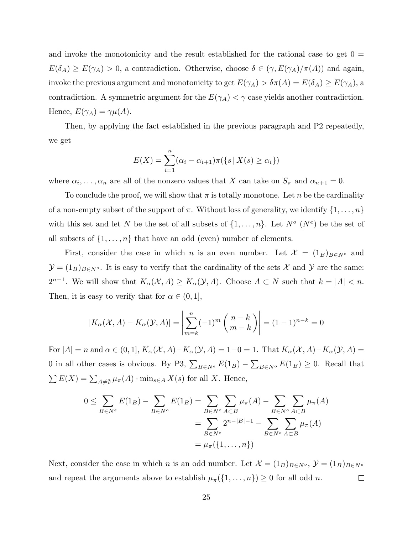and invoke the monotonicity and the result established for the rational case to get  $0 =$  $E(\delta_A) \geq E(\gamma_A) > 0$ , a contradiction. Otherwise, choose  $\delta \in (\gamma, E(\gamma_A)/\pi(A))$  and again, invoke the previous argument and monotonicity to get  $E(\gamma_A) > \delta \pi(A) = E(\delta_A) \geq E(\gamma_A)$ , a contradiction. A symmetric argument for the  $E(\gamma_A) < \gamma$  case yields another contradiction. Hence,  $E(\gamma_A) = \gamma \mu(A)$ .

Then, by applying the fact established in the previous paragraph and P2 repeatedly, we get

$$
E(X) = \sum_{i=1}^{n} (\alpha_i - \alpha_{i+1}) \pi({s | X(s) \ge \alpha_i})
$$

where  $\alpha_i, \ldots, \alpha_n$  are all of the nonzero values that X can take on  $S_{\pi}$  and  $\alpha_{n+1} = 0$ .

To conclude the proof, we will show that  $\pi$  is totally monotone. Let n be the cardinality of a non-empty subset of the support of  $\pi$ . Without loss of generality, we identify  $\{1,\ldots,n\}$ with this set and let N be the set of all subsets of  $\{1, \ldots, n\}$ . Let  $N^o(N^e)$  be the set of all subsets of  $\{1, \ldots, n\}$  that have an odd (even) number of elements.

First, consider the case in which n is an even number. Let  $\mathcal{X} = (1_B)_{B \in N^e}$  and  $\mathcal{Y} = (1_B)_{B \in N^o}$ . It is easy to verify that the cardinality of the sets X and Y are the same:  $2^{n-1}$ . We will show that  $K_{\alpha}(\mathcal{X}, A) \geq K_{\alpha}(\mathcal{Y}, A)$ . Choose  $A \subset N$  such that  $k = |A| < n$ . Then, it is easy to verify that for  $\alpha \in (0,1],$ 

$$
|K_{\alpha}(\mathcal{X}, A) - K_{\alpha}(\mathcal{Y}, A)| = \left| \sum_{m=k}^{n} (-1)^m \binom{n-k}{m-k} \right| = (1-1)^{n-k} = 0
$$

For  $|A| = n$  and  $\alpha \in (0, 1]$ ,  $K_{\alpha}(\mathcal{X}, A) - K_{\alpha}(\mathcal{Y}, A) = 1 - 0 = 1$ . That  $K_{\alpha}(\mathcal{X}, A) - K_{\alpha}(\mathcal{Y}, A) =$ 0 in all other cases is obvious. By P3,  $\sum_{B \in N^e} E(1_B) - \sum_{B \in N^o} E(1_B) \ge 0$ . Recall that  $\sum E(X) = \sum_{A \neq \emptyset} \mu_{\pi}(A) \cdot \min_{s \in A} X(s)$  for all X. Hence,

$$
0 \le \sum_{B \in N^e} E(1_B) - \sum_{B \in N^o} E(1_B) = \sum_{B \in N^e} \sum_{A \subset B} \mu_{\pi}(A) - \sum_{B \in N^o} \sum_{A \subset B} \mu_{\pi}(A)
$$
  
= 
$$
\sum_{B \in N^e} 2^{n-|B|-1} - \sum_{B \in N^o} \sum_{A \subset B} \mu_{\pi}(A)
$$
  
= 
$$
\mu_{\pi}(\{1, ..., n\})
$$

Next, consider the case in which n is an odd number. Let  $\mathcal{X} = (1_B)_{B \in N^o}$ ,  $\mathcal{Y} = (1_B)_{B \in N^e}$ and repeat the arguments above to establish  $\mu_{\pi}(\{1,\ldots,n\}) \geq 0$  for all odd *n*.  $\Box$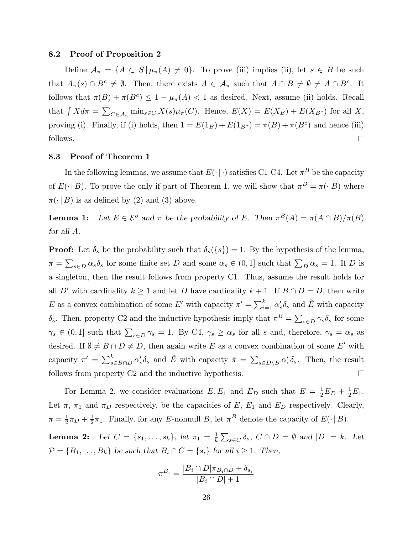### 8.2 Proof of Proposition 2

Define  $A_{\pi} = \{A \subset S | \mu_{\pi}(A) \neq 0\}$ . To prove (iii) implies (ii), let  $s \in B$  be such that  $A_{\pi}(s) \cap B^c \neq \emptyset$ . Then, there exists  $A \in \mathcal{A}_{\pi}$  such that  $A \cap B \neq \emptyset \neq A \cap B^c$ . It follows that  $\pi(B) + \pi(B^c) \leq 1 - \mu_{\pi}(A) < 1$  as desired. Next, assume (ii) holds. Recall that  $\int X d\pi = \sum_{C \in \mathcal{A}_{\pi}} \min_{s \in C} X(s) \mu_{\pi}(C)$ . Hence,  $E(X) = E(X_B) + E(X_{B^c})$  for all X, proving (i). Finally, if (i) holds, then  $1 = E(1_B) + E(1_{B<sup>c</sup>}) = \pi(B) + \pi(B<sup>c</sup>)$  and hence (iii) follows.  $\Box$ 

### 8.3 Proof of Theorem 1

In the following lemmas, we assume that  $E(\cdot | \cdot)$  satisfies C1-C4. Let  $\pi^B$  be the capacity of  $E(\cdot | B)$ . To prove the only if part of Theorem 1, we will show that  $\pi^{B} = \pi(\cdot | B)$  where  $\pi(\cdot | B)$  is as defined by (2) and (3) above.

**Lemma 1:** Let  $E \in \mathcal{E}^{\circ}$  and  $\pi$  be the probability of E. Then  $\pi^{B}(A) = \pi(A \cap B)/\pi(B)$ for all A.

**Proof:** Let  $\delta_s$  be the probability such that  $\delta_s({s}) = 1$ . By the hypothesis of the lemma,  $\pi = \sum_{s \in D} \alpha_s \delta_s$  for some finite set D and some  $\alpha_s \in (0,1]$  such that  $\sum_D \alpha_s = 1$ . If D is a singleton, then the result follows from property C1. Thus, assume the result holds for all D' with cardinality  $k \ge 1$  and let D have cardinality  $k + 1$ . If  $B \cap D = D$ , then write E as a convex combination of some E' with capacity  $\pi' = \sum_{i=1}^{k} \alpha'_s \delta_s$  and  $\hat{E}$  with capacity δ<sub>ε</sub>. Then, property C2 and the inductive hypothesis imply that  $\pi^B = \sum_{s \in D} \gamma_s \delta_s$  for some  $\gamma_s \in (0,1]$  such that  $\sum_{s \in D} \gamma_s = 1$ . By C4,  $\gamma_s \ge \alpha_s$  for all s and, therefore,  $\gamma_s = \alpha_s$  as desired. If  $\emptyset \neq B \cap D \neq D$ , then again write E as a convex combination of some E' with capacity  $\pi' = \sum_{s \in B \cap D}^k \alpha'_s \delta_s$  and  $\hat{E}$  with capacity  $\hat{\pi} = \sum_{s \in D \setminus B} \alpha'_s \delta_s$ . Then, the result follows from property C2 and the inductive hypothesis.  $\Box$ 

For Lemma 2, we consider evaluations  $E, E_1$  and  $E_D$  such that  $E = \frac{1}{2}$  $\frac{1}{2}E_D + \frac{1}{2}$  $\frac{1}{2}E_1.$ Let  $\pi$ ,  $\pi_1$  and  $\pi_D$  respectively, be the capacities of E, E<sub>1</sub> and E<sub>D</sub> respectively. Clearly,  $\pi = \frac{1}{2}$  $rac{1}{2}\pi D + \frac{1}{2}$  $\frac{1}{2}\pi_1$ . Finally, for any E-nonnull B, let  $\pi^B$  denote the capacity of  $E(\cdot | B)$ .

**Lemma 2:** Let  $C = \{s_1, \ldots, s_k\}$ , let  $\pi_1 = \frac{1}{k}$  $\frac{1}{k} \sum_{s \in C} \delta_s$ ,  $C \cap D = \emptyset$  and  $|D| = k$ . Let  $\mathcal{P} = \{B_1, \ldots, B_k\}$  be such that  $B_i \cap C = \{s_i\}$  for all  $i \geq 1$ . Then,

$$
\pi^{B_i} = \frac{|B_i \cap D|\pi_{B_i \cap D} + \delta_{s_i}}{|B_i \cap D| + 1}
$$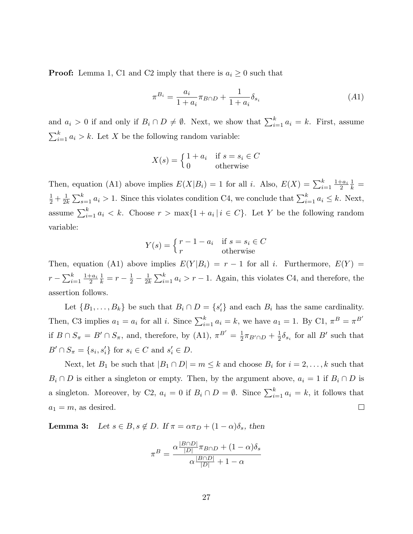**Proof:** Lemma 1, C1 and C2 imply that there is  $a_i \geq 0$  such that

$$
\pi^{B_i} = \frac{a_i}{1 + a_i} \pi_{B \cap D} + \frac{1}{1 + a_i} \delta_{s_i}
$$
\n(A1)

and  $a_i > 0$  if and only if  $B_i \cap D \neq \emptyset$ . Next, we show that  $\sum_{i=1}^{k} a_i = k$ . First, assume  $\sum_{i=1}^{k} a_i > k$ . Let X be the following random variable:

$$
X(s) = \begin{cases} 1 + a_i & \text{if } s = s_i \in C \\ 0 & \text{otherwise} \end{cases}
$$

Then, equation (A1) above implies  $E(X|B_i) = 1$  for all *i*. Also,  $E(X) = \sum_{i=1}^{k} \frac{1+a_i}{2}$ 2 1  $\frac{1}{k}$  = 1  $rac{1}{2} + \frac{1}{2l}$  $\frac{1}{2k} \sum_{s=1}^{k} a_i > 1$ . Since this violates condition C4, we conclude that  $\sum_{i=1}^{k} a_i \leq k$ . Next, assume  $\sum_{i=1}^{k} a_i < k$ . Choose  $r > \max\{1 + a_i \mid i \in C\}$ . Let Y be the following random variable:

$$
Y(s) = \begin{cases} r - 1 - a_i & \text{if } s = s_i \in C \\ r & \text{otherwise} \end{cases}
$$

Then, equation (A1) above implies  $E(Y|B_i) = r - 1$  for all i. Furthermore,  $E(Y) =$  $r - \sum_{i=1}^{k} \frac{1 + a_i}{2}$ 2 1  $\frac{1}{k} = r - \frac{1}{2}$  $rac{1}{2} - \frac{1}{2l}$  $\frac{1}{2k} \sum_{i=1}^{k} a_i > r - 1$ . Again, this violates C4, and therefore, the assertion follows.

Let  $\{B_1, \ldots, B_k\}$  be such that  $B_i \cap D = \{s'_i\}$  and each  $B_i$  has the same cardinality. Then, C3 implies  $a_1 = a_i$  for all i. Since  $\sum_{i=1}^{k} a_i = k$ , we have  $a_1 = 1$ . By C1,  $\pi^B = \pi^{B'}$ if  $B \cap S_{\pi} = B' \cap S_{\pi}$ , and, therefore, by (A1),  $\pi^{B'} = \frac{1}{2}$  $\frac{1}{2}\pi_{B' \cap D} + \frac{1}{2}$  $\frac{1}{2}\delta_{s_i}$  for all  $B'$  such that  $B' \cap S_{\pi} = \{s_i, s'_i\}$  for  $s_i \in C$  and  $s'_i \in D$ .

Next, let  $B_1$  be such that  $|B_1 \cap D| = m \leq k$  and choose  $B_i$  for  $i = 2, \ldots, k$  such that  $B_i \cap D$  is either a singleton or empty. Then, by the argument above,  $a_i = 1$  if  $B_i \cap D$  is a singleton. Moreover, by C2,  $a_i = 0$  if  $B_i \cap D = \emptyset$ . Since  $\sum_{i=1}^{k} a_i = k$ , it follows that  $a_1 = m$ , as desired.  $\Box$ 

**Lemma 3:** Let  $s \in B$ ,  $s \notin D$ . If  $\pi = \alpha \pi_D + (1 - \alpha)\delta_s$ , then

$$
\pi^B = \frac{\alpha \frac{|B \cap D|}{|D|} \pi_{B \cap D} + (1 - \alpha)\delta_s}{\alpha \frac{|B \cap D|}{|D|} + 1 - \alpha}
$$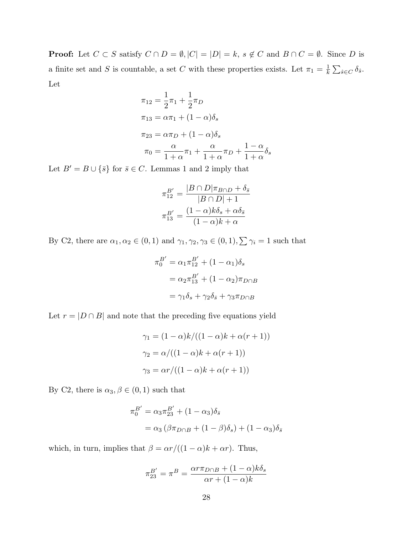**Proof:** Let  $C \subset S$  satisfy  $C \cap D = \emptyset$ ,  $|C| = |D| = k$ ,  $s \notin C$  and  $B \cap C = \emptyset$ . Since D is a finite set and S is countable, a set C with these properties exists. Let  $\pi_1 = \frac{1}{k}$  $\frac{1}{k}\sum_{\hat{s}\in C}\delta_{\hat{s}}.$ Let

$$
\pi_{12} = \frac{1}{2}\pi_1 + \frac{1}{2}\pi_D
$$
  
\n
$$
\pi_{13} = \alpha \pi_1 + (1 - \alpha)\delta_s
$$
  
\n
$$
\pi_{23} = \alpha \pi_D + (1 - \alpha)\delta_s
$$
  
\n
$$
\pi_0 = \frac{\alpha}{1 + \alpha}\pi_1 + \frac{\alpha}{1 + \alpha}\pi_D + \frac{1 - \alpha}{1 + \alpha}\delta_s
$$

Let  $B' = B \cup {\bar{s}}$  for  $\bar{s} \in C$ . Lemmas 1 and 2 imply that

$$
\pi_{12}^{B'} = \frac{|B \cap D|\pi_{B \cap D} + \delta_{\bar{s}}}{|B \cap D| + 1}
$$

$$
\pi_{13}^{B'} = \frac{(1 - \alpha)k\delta_{s} + \alpha\delta_{\bar{s}}}{(1 - \alpha)k + \alpha}
$$

By C2, there are  $\alpha_1, \alpha_2 \in (0, 1)$  and  $\gamma_1, \gamma_2, \gamma_3 \in (0, 1), \sum \gamma_i = 1$  such that

$$
\pi_0^{B'} = \alpha_1 \pi_{12}^{B'} + (1 - \alpha_1)\delta_s
$$

$$
= \alpha_2 \pi_{13}^{B'} + (1 - \alpha_2)\pi_{D \cap B}
$$

$$
= \gamma_1 \delta_s + \gamma_2 \delta_{\bar{s}} + \gamma_3 \pi_{D \cap B}
$$

Let  $r = |D \cap B|$  and note that the preceding five equations yield

$$
\gamma_1 = (1 - \alpha)k/((1 - \alpha)k + \alpha(r + 1))
$$

$$
\gamma_2 = \alpha/((1 - \alpha)k + \alpha(r + 1))
$$

$$
\gamma_3 = \alpha r/((1 - \alpha)k + \alpha(r + 1))
$$

By C2, there is  $\alpha_3, \beta \in (0, 1)$  such that

$$
\pi_0^{B'} = \alpha_3 \pi_{23}^{B'} + (1 - \alpha_3) \delta_{\bar{s}}
$$
  
= 
$$
\alpha_3 (\beta \pi_{D \cap B} + (1 - \beta) \delta_s) + (1 - \alpha_3) \delta_{\bar{s}}
$$

which, in turn, implies that  $\beta = \alpha r/((1 - \alpha)k + \alpha r)$ . Thus,

$$
\pi_{23}^{B'} = \pi^B = \frac{\alpha r \pi_{D \cap B} + (1 - \alpha) k \delta_s}{\alpha r + (1 - \alpha) k}
$$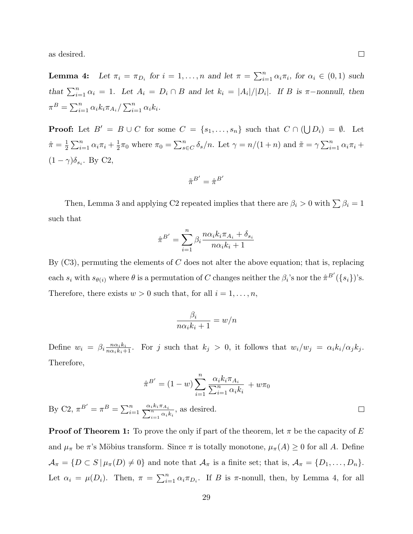as desired.

 $Bv$ 

**Lemma 4:** Let  $\pi_i = \pi_{D_i}$  for  $i = 1, ..., n$  and let  $\pi = \sum_{i=1}^n \alpha_i \pi_i$ , for  $\alpha_i \in (0, 1)$  such that  $\sum_{i=1}^{n} \alpha_i = 1$ . Let  $A_i = D_i \cap B$  and let  $k_i = |A_i|/|D_i|$ . If B is  $\pi$ -nonnull, then  $\pi^{B} = \sum_{i=1}^{n} \alpha_{i} k_{i} \pi_{A_{i}} / \sum_{i=1}^{n} \alpha_{i} k_{i}$ .

**Proof:** Let  $B' = B \cup C$  for some  $C = \{s_1, \ldots, s_n\}$  such that  $C \cap (\bigcup D_i) = \emptyset$ . Let  $\hat{\pi} = \frac{1}{2}$  $\frac{1}{2}\sum_{i=1}^{n} \alpha_i \pi_i + \frac{1}{2}$  $\frac{1}{2}\pi_0$  where  $\pi_0 = \sum_{s \in C}^n \delta_s/n$ . Let  $\gamma = n/(1+n)$  and  $\tilde{\pi} = \gamma \sum_{i=1}^n \alpha_i \pi_i +$  $(1 - \gamma)\delta_{s_i}$ . By C2,

$$
\tilde{\pi}^{B'} = \hat{\pi}^{B'}
$$

Then, Lemma 3 and applying C2 repeated implies that there are  $\beta_i > 0$  with  $\sum \beta_i = 1$ such that

$$
\hat{\pi}^{B'} = \sum_{i=1}^{n} \beta_i \frac{n\alpha_i k_i \pi_{A_i} + \delta_{s_i}}{n\alpha_i k_i + 1}
$$

By  $(C3)$ , permuting the elements of C does not alter the above equation; that is, replacing each  $s_i$  with  $s_{\theta(i)}$  where  $\theta$  is a permutation of C changes neither the  $\beta_i$ 's nor the  $\hat{\pi}^{B'}(\{s_i\})$ 's. Therefore, there exists  $w > 0$  such that, for all  $i = 1, ..., n$ ,

$$
\frac{\beta_i}{n\alpha_i k_i + 1} = w/n
$$

Define  $w_i = \beta_i \frac{n a_i k_i}{n a_i k_i + 1}$ . For j such that  $k_j > 0$ , it follows that  $w_i/w_j = \alpha_i k_i/\alpha_j k_j$ . Therefore,

$$
\hat{\pi}^{B'} = (1 - w) \sum_{i=1}^{n} \frac{\alpha_{i} k_{i} \pi_{A_{i}}}{\sum_{i=1}^{n} \alpha_{i} k_{i}} + w \pi_{0}
$$
  
C2,  $\pi^{B'} = \pi^{B} = \sum_{i=1}^{n} \frac{\alpha_{i} k_{i} \pi_{A_{i}}}{\sum_{i=1}^{n} \alpha_{i} k_{i}},$  as desired.

**Proof of Theorem 1:** To prove the only if part of the theorem, let  $\pi$  be the capacity of E and  $\mu_{\pi}$  be  $\pi$ 's Möbius transform. Since  $\pi$  is totally monotone,  $\mu_{\pi}(A) \geq 0$  for all A. Define  $\mathcal{A}_{\pi} = \{D \subset S | \mu_{\pi}(D) \neq 0\}$  and note that  $\mathcal{A}_{\pi}$  is a finite set; that is,  $\mathcal{A}_{\pi} = \{D_1, \ldots, D_n\}.$ Let  $\alpha_i = \mu(D_i)$ . Then,  $\pi = \sum_{i=1}^n \alpha_i \pi_{D_i}$ . If B is  $\pi$ -nonull, then, by Lemma 4, for all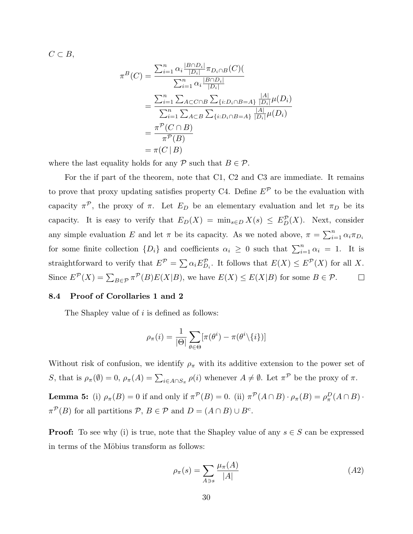$C \subset B$ ,

$$
\pi^{B}(C) = \frac{\sum_{i=1}^{n} \alpha_{i} \frac{|B \cap D_{i}|}{|D_{i}|} \pi_{D_{i} \cap B}(C)}{\sum_{i=1}^{n} \alpha_{i} \frac{|B \cap D_{i}|}{|D_{i}|}}
$$
  
= 
$$
\frac{\sum_{i=1}^{n} \sum_{A \subset C \cap B} \sum_{\{i:D_{i} \cap B = A\}} \frac{|A|}{|D_{i}|} \mu(D_{i})}{\sum_{i=1}^{n} \sum_{A \subset B} \sum_{\{i:D_{i} \cap B = A\}} \frac{|A|}{|D_{i}|} \mu(D_{i})}
$$
  
= 
$$
\frac{\pi^{P}(C \cap B)}{\pi^{P}(B)}
$$
  
= 
$$
\pi(C | B)
$$

where the last equality holds for any  $P$  such that  $B \in \mathcal{P}$ .

For the if part of the theorem, note that C1, C2 and C3 are immediate. It remains to prove that proxy updating satisfies property C4. Define  $E^{\mathcal{P}}$  to be the evaluation with capacity  $\pi^{\mathcal{P}}$ , the proxy of  $\pi$ . Let  $E_D$  be an elementary evaluation and let  $\pi_D$  be its capacity. It is easy to verify that  $E_D(X) = \min_{s \in D} X(s) \leq E_D^{\mathcal{P}}(X)$ . Next, consider any simple evaluation E and let  $\pi$  be its capacity. As we noted above,  $\pi = \sum_{i=1}^{n} \alpha_i \pi_{D_i}$ for some finite collection  $\{D_i\}$  and coefficients  $\alpha_i \geq 0$  such that  $\sum_{i=1}^n \alpha_i = 1$ . It is straightforward to verify that  $E^{\mathcal{P}} = \sum \alpha_i E_{D_i}^{\mathcal{P}}$ . It follows that  $E(X) \leq E^{\mathcal{P}}(X)$  for all X. Since  $E^{\mathcal{P}}(X) = \sum_{B \in \mathcal{P}} \pi^{\mathcal{P}}(B) E(X|B)$ , we have  $E(X) \le E(X|B)$  for some  $B \in \mathcal{P}$ .  $\Box$ 

### 8.4 Proof of Corollaries 1 and 2

The Shapley value of i is defined as follows:

$$
\rho_{\pi}(i) = \frac{1}{|\Theta|} \sum_{\theta \in \Theta} [\pi(\theta^i) - \pi(\theta^i \setminus \{i\})]
$$

Without risk of confusion, we identify  $\rho_{\pi}$  with its additive extension to the power set of S, that is  $\rho_{\pi}(\emptyset) = 0$ ,  $\rho_{\pi}(A) = \sum_{i \in A \cap S_{\pi}} \rho(i)$  whenever  $A \neq \emptyset$ . Let  $\pi^{\mathcal{P}}$  be the proxy of  $\pi$ . **Lemma 5:** (i)  $\rho_{\pi}(B) = 0$  if and only if  $\pi^{\mathcal{P}}(B) = 0$ . (ii)  $\pi^{\mathcal{P}}(A \cap B) \cdot \rho_{\pi}(B) = \rho_{\pi}^{D}(A \cap B) \cdot$  $\pi^{\mathcal{P}}(B)$  for all partitions  $\mathcal{P}, B \in \mathcal{P}$  and  $D = (A \cap B) \cup B^{c}$ .

**Proof:** To see why (i) is true, note that the Shapley value of any  $s \in S$  can be expressed in terms of the Möbius transform as follows:

$$
\rho_{\pi}(s) = \sum_{A \ni s} \frac{\mu_{\pi}(A)}{|A|} \tag{A2}
$$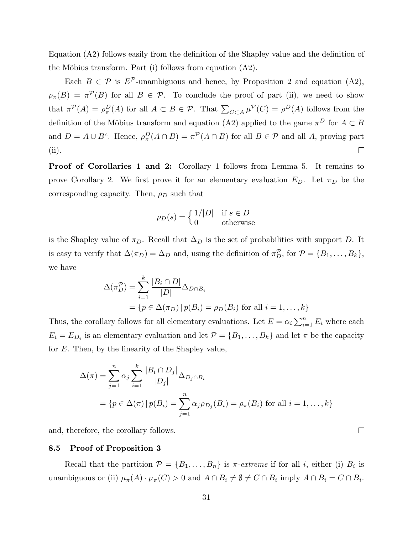Equation (A2) follows easily from the definition of the Shapley value and the definition of the Möbius transform. Part (i) follows from equation  $(A2)$ .

Each  $B \in \mathcal{P}$  is  $E^{\mathcal{P}}$ -unambiguous and hence, by Proposition 2 and equation (A2),  $\rho_{\pi}(B) = \pi^{\mathcal{P}}(B)$  for all  $B \in \mathcal{P}$ . To conclude the proof of part (ii), we need to show that  $\pi^{\mathcal{P}}(A) = \rho_{\pi}^{D}(A)$  for all  $A \subset B \in \mathcal{P}$ . That  $\sum_{C \subset A} \mu^{\mathcal{P}}(C) = \rho^{D}(A)$  follows from the definition of the Möbius transform and equation (A2) applied to the game  $\pi^D$  for  $A \subset B$ and  $D = A \cup B^c$ . Hence,  $\rho_\pi^D(A \cap B) = \pi^{\mathcal{P}}(A \cap B)$  for all  $B \in \mathcal{P}$  and all A, proving part (ii).  $\Box$ 

Proof of Corollaries 1 and 2: Corollary 1 follows from Lemma 5. It remains to prove Corollary 2. We first prove it for an elementary evaluation  $E_D$ . Let  $\pi_D$  be the corresponding capacity. Then,  $\rho_D$  such that

$$
\rho_D(s) = \begin{cases} 1/|D| & \text{if } s \in D \\ 0 & \text{otherwise} \end{cases}
$$

is the Shapley value of  $\pi_D$ . Recall that  $\Delta_D$  is the set of probabilities with support D. It is easy to verify that  $\Delta(\pi_D) = \Delta_D$  and, using the definition of  $\pi_D^{\mathcal{P}}$ , for  $\mathcal{P} = \{B_1, \ldots, B_k\}$ , we have

$$
\Delta(\pi_D^{\mathcal{P}}) = \sum_{i=1}^k \frac{|B_i \cap D|}{|D|} \Delta_{D \cap B_i}
$$
  
=  $\{p \in \Delta(\pi_D) | p(B_i) = \rho_D(B_i) \text{ for all } i = 1, ..., k\}$ 

Thus, the corollary follows for all elementary evaluations. Let  $E = \alpha_i \sum_{i=1}^n E_i$  where each  $E_i = E_{D_i}$  is an elementary evaluation and let  $\mathcal{P} = \{B_1, \ldots, B_k\}$  and let  $\pi$  be the capacity for E. Then, by the linearity of the Shapley value,

$$
\Delta(\pi) = \sum_{j=1}^{n} \alpha_j \sum_{i=1}^{k} \frac{|B_i \cap D_j|}{|D_j|} \Delta_{D_j \cap B_i}
$$
  
=  $\{p \in \Delta(\pi) | p(B_i) = \sum_{j=1}^{n} \alpha_j \rho_{D_j}(B_i) = \rho_{\pi}(B_i) \text{ for all } i = 1, ..., k\}$ 

and, therefore, the corollary follows.

### 8.5 Proof of Proposition 3

Recall that the partition  $\mathcal{P} = \{B_1, \ldots, B_n\}$  is  $\pi$ -extreme if for all *i*, either (i)  $B_i$  is unambiguous or (ii)  $\mu_{\pi}(A) \cdot \mu_{\pi}(C) > 0$  and  $A \cap B_i \neq \emptyset \neq C \cap B_i$  imply  $A \cap B_i = C \cap B_i$ .

 $\Box$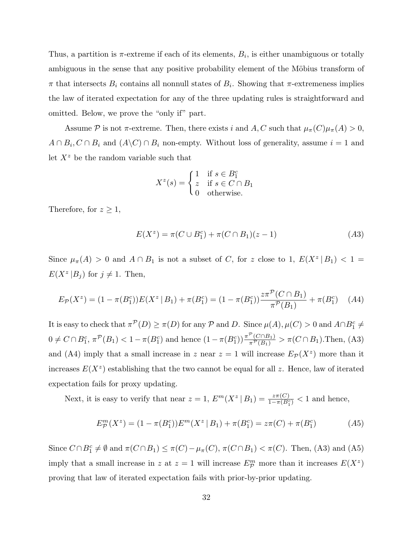Thus, a partition is  $\pi$ -extreme if each of its elements,  $B_i$ , is either unambiguous or totally ambiguous in the sense that any positive probability element of the Möbius transform of  $\pi$  that intersects  $B_i$  contains all nonnull states of  $B_i$ . Showing that  $\pi$ -extremeness implies the law of iterated expectation for any of the three updating rules is straightforward and omitted. Below, we prove the "only if" part.

Assume P is not  $\pi$ -extreme. Then, there exists i and A, C such that  $\mu_{\pi}(C)\mu_{\pi}(A) > 0$ ,  $A \cap B_i, C \cap B_i$  and  $(A \backslash C) \cap B_i$  non-empty. Without loss of generality, assume  $i = 1$  and let  $X^z$  be the random variable such that

$$
X^{z}(s) = \begin{cases} 1 & \text{if } s \in B_1^c \\ z & \text{if } s \in C \cap B_1 \\ 0 & \text{otherwise.} \end{cases}
$$

Therefore, for  $z \geq 1$ ,

$$
E(X^{z}) = \pi(C \cup B_{1}^{c}) + \pi(C \cap B_{1})(z - 1)
$$
\n<sup>(A3)</sup>

Since  $\mu_{\pi}(A) > 0$  and  $A \cap B_1$  is not a subset of C, for z close to 1,  $E(X^z | B_1) < 1 =$  $E(X^z | B_j)$  for  $j \neq 1$ . Then,

$$
E_{\mathcal{P}}(X^z) = (1 - \pi(B_1^c))E(X^z | B_1) + \pi(B_1^c) = (1 - \pi(B_1^c))\frac{z\pi^{\mathcal{P}}(C \cap B_1)}{\pi^{\mathcal{P}}(B_1)} + \pi(B_1^c) \quad (A4)
$$

It is easy to check that  $\pi^{\mathcal{P}}(D) \ge \pi(D)$  for any  $\mathcal{P}$  and D. Since  $\mu(A), \mu(C) > 0$  and  $A \cap B_1^c \ne$  $0 \neq C \cap B_1^c, \pi^{\mathcal{P}}(B_1) < 1 - \pi(B_1^c)$  and hence  $(1 - \pi(B_1^c)) \frac{\pi^{\mathcal{P}}(C \cap B_1)}{\pi^{\mathcal{P}}(B_1)}$  $\frac{C(\text{CHB}_1)}{\pi^{\mathcal{P}}(B_1)} > \pi(C \cap B_1)$ . Then, (A3) and (A4) imply that a small increase in z near  $z = 1$  will increase  $E_{\mathcal{P}}(X^z)$  more than it increases  $E(X^z)$  establishing that the two cannot be equal for all z. Hence, law of iterated expectation fails for proxy updating.

Next, it is easy to verify that near  $z = 1$ ,  $E^m(X^z | B_1) = \frac{z\pi(C)}{1 - \pi(B_1^c)} < 1$  and hence,

$$
E_{\mathcal{P}}^{m}(X^{z}) = (1 - \pi(B_{1}^{c}))E^{m}(X^{z} | B_{1}) + \pi(B_{1}^{c}) = z\pi(C) + \pi(B_{1}^{c})
$$
 (A5)

Since  $C \cap B_1^c \neq \emptyset$  and  $\pi(C \cap B_1) \leq \pi(C) - \mu_{\pi}(C), \pi(C \cap B_1) < \pi(C)$ . Then, (A3) and (A5) imply that a small increase in z at  $z = 1$  will increase  $E_{\mathcal{P}}^m$  more than it increases  $E(X^z)$ proving that law of iterated expectation fails with prior-by-prior updating.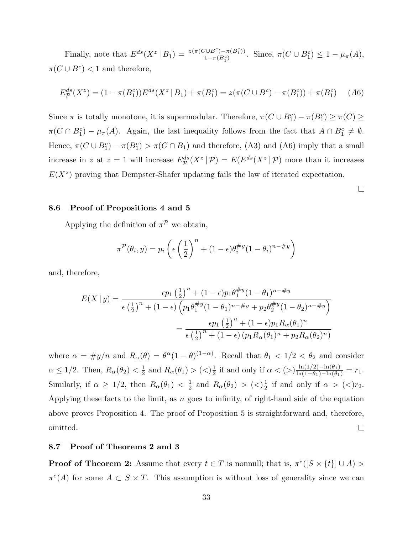Finally, note that  $E^{ds}(X^z \mid B_1) = \frac{z(\pi(C \cup B^c) - \pi(B_1^c))}{1 - \pi(B^c)}$  $\frac{\pi(DB^c) - \pi(B_1^c)}{1 - \pi(B_1^c)}$ . Since,  $\pi(C \cup B_1^c) \leq 1 - \mu_{\pi}(A)$ ,  $\pi(C \cup B^c) < 1$  and therefore,

$$
E_{\mathcal{P}}^{ds}(X^z) = (1 - \pi(B_1^c))E^{ds}(X^z | B_1) + \pi(B_1^c) = z(\pi(C \cup B^c) - \pi(B_1^c)) + \pi(B_1^c) \tag{A6}
$$

Since  $\pi$  is totally monotone, it is supermodular. Therefore,  $\pi(C \cup B_1^c) - \pi(B_1^c) \ge \pi(C) \ge$  $\pi(C \cap B_1^c) - \mu_{\pi}(A)$ . Again, the last inequality follows from the fact that  $A \cap B_1^c \neq \emptyset$ . Hence,  $\pi(C \cup B_1^c) - \pi(B_1^c) > \pi(C \cap B_1)$  and therefore, (A3) and (A6) imply that a small increase in z at  $z = 1$  will increase  $E^{ds}_{\mathcal{P}}(X^z | \mathcal{P}) = E(E^{ds}(X^z | \mathcal{P}))$  more than it increases  $E(X^z)$  proving that Dempster-Shafer updating fails the law of iterated expectation.

 $\Box$ 

### 8.6 Proof of Propositions 4 and 5

Applying the definition of  $\pi^{\mathcal{P}}$  we obtain,

$$
\pi^{\mathcal{P}}(\theta_i, y) = p_i \left( \epsilon \left( \frac{1}{2} \right)^n + (1 - \epsilon) \theta_i^{\# y} (1 - \theta_i)^{n - \# y} \right)
$$

and, therefore,

$$
E(X \mid y) = \frac{\epsilon p_1 \left(\frac{1}{2}\right)^n + (1 - \epsilon) p_1 \theta_1^{\#y} (1 - \theta_1)^{n - \#y}}{\epsilon \left(\frac{1}{2}\right)^n + (1 - \epsilon) \left(p_1 \theta_1^{\#y} (1 - \theta_1)^{n - \#y} + p_2 \theta_2^{\#y} (1 - \theta_2)^{n - \#y}\right)}
$$

$$
= \frac{\epsilon p_1 \left(\frac{1}{2}\right)^n + (1 - \epsilon) p_1 R_\alpha(\theta_1)^n}{\epsilon \left(\frac{1}{2}\right)^n + (1 - \epsilon) (p_1 R_\alpha(\theta_1)^n + p_2 R_\alpha(\theta_2)^n)}
$$

where  $\alpha = \#y/n$  and  $R_{\alpha}(\theta) = \theta^{\alpha}(1-\theta)^{(1-\alpha)}$ . Recall that  $\theta_1 < 1/2 < \theta_2$  and consider  $\frac{1}{2}$  if and only if  $\alpha < (>)\frac{\ln(1/2)-\ln(\theta_1)}{\ln(1-\theta_1)-\ln(\theta_1)}$  $\alpha \leq 1/2$ . Then,  $R_{\alpha}(\theta_2) < \frac{1}{2}$  $\frac{1}{2}$  and  $R_{\alpha}(\theta_1) > (\langle \rangle \frac{1}{2})$  $\frac{\ln(1/2) - \ln(\theta_1)}{\ln(1-\theta_1) - \ln(\theta_1)} = r_1.$ Similarly, if  $\alpha \geq 1/2$ , then  $R_{\alpha}(\theta_1) < \frac{1}{2}$  $\frac{1}{2}$  and  $R_{\alpha}(\theta_2) > (\langle \rangle \frac{1}{2})$  $\frac{1}{2}$  if and only if  $\alpha > \frac{1}{2}$ . Applying these facts to the limit, as  $n$  goes to infinity, of right-hand side of the equation above proves Proposition 4. The proof of Proposition 5 is straightforward and, therefore, omitted.  $\Box$ 

### 8.7 Proof of Theorems 2 and 3

**Proof of Theorem 2:** Assume that every  $t \in T$  is nonnull; that is,  $\pi^{e}([S \times \{t\}] \cup A)$  $\pi^{e}(A)$  for some  $A \subset S \times T$ . This assumption is without loss of generality since we can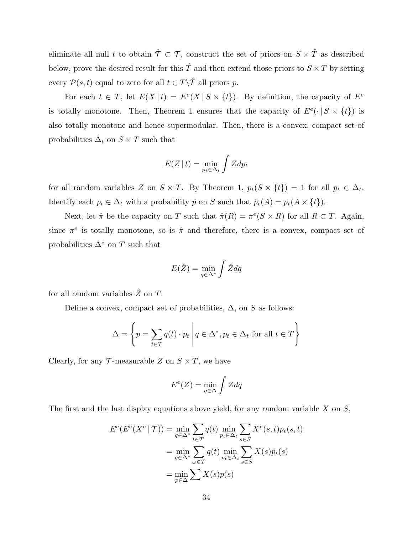eliminate all null t to obtain  $\hat{\mathcal{T}} \subset \mathcal{T}$ , construct the set of priors on  $S \times \hat{T}$  as described below, prove the desired result for this  $\hat{T}$  and then extend those priors to  $S \times T$  by setting every  $\mathcal{P}(s,t)$  equal to zero for all  $t \in T\backslash \hat{T}$  all priors  $p$ .

For each  $t \in T$ , let  $E(X | t) = E^{e}(X | S \times \{t\})$ . By definition, the capacity of  $E^{e}$ is totally monotone. Then, Theorem 1 ensures that the capacity of  $E^e(\cdot | S \times \{t\})$  is also totally monotone and hence supermodular. Then, there is a convex, compact set of probabilities  $\Delta_t$  on  $S \times T$  such that

$$
E(Z \mid t) = \min_{p_t \in \Delta_t} \int Z dp_t
$$

for all random variables Z on  $S \times T$ . By Theorem 1,  $p_t(S \times \{t\}) = 1$  for all  $p_t \in \Delta_t$ . Identify each  $p_t \in \Delta_t$  with a probability  $\hat{p}$  on S such that  $\hat{p}_t(A) = p_t(A \times \{t\})$ .

Next, let  $\hat{\pi}$  be the capacity on T such that  $\hat{\pi}(R) = \pi^e(S \times R)$  for all  $R \subset T$ . Again, since  $\pi^e$  is totally monotone, so is  $\hat{\pi}$  and therefore, there is a convex, compact set of probabilities  $\Delta^*$  on T such that

$$
E(\hat{Z}) = \min_{q \in \Delta^*} \int \hat{Z} dq
$$

for all random variables  $\hat{Z}$  on T.

Define a convex, compact set of probabilities,  $\Delta$ , on S as follows:

$$
\Delta = \left\{ p = \sum_{t \in T} q(t) \cdot p_t \, \middle| \, q \in \Delta^*, p_t \in \Delta_t \text{ for all } t \in T \right\}
$$

Clearly, for any  $\mathcal T$ -measurable Z on  $S \times T$ , we have

$$
E^e(Z) = \min_{q \in \Delta} \int Z dq
$$

The first and the last display equations above yield, for any random variable  $X$  on  $S$ ,

$$
E^{e}(E^{e}(X^{e} | \mathcal{T})) = \min_{q \in \Delta^{*}} \sum_{t \in T} q(t) \min_{p_{t} \in \Delta_{t}} \sum_{s \in S} X^{e}(s, t) p_{t}(s, t)
$$

$$
= \min_{q \in \Delta^{*}} \sum_{\omega \in T} q(t) \min_{p_{t} \in \Delta_{t}} \sum_{s \in S} X(s) \hat{p}_{t}(s)
$$

$$
= \min_{p \in \Delta} \sum X(s) p(s)
$$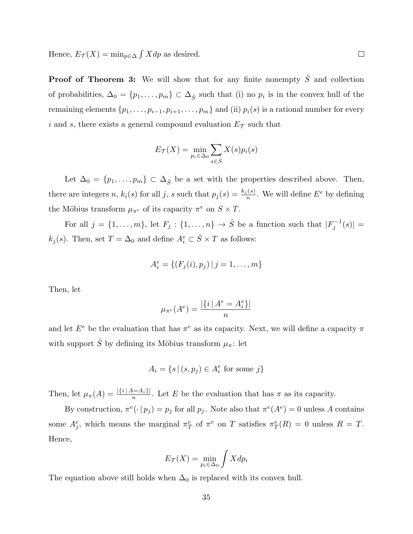Hence,  $E_{\mathcal{T}}(X) = \min_{p \in \Delta} \int X dp$  as desired.

**Proof of Theorem 3:** We will show that for any finite nonempty  $\hat{S}$  and collection of probabilities,  $\Delta_0 = \{p_1, \ldots, p_m\} \subset \Delta_{\hat{S}}$  such that (i) no  $p_i$  is in the convex hull of the remaining elements  $\{p_1, \ldots, p_{i-1}, p_{i+1}, \ldots, p_m\}$  and (ii)  $p_i(s)$  is a rational number for every i and s, there exists a general compound evaluation  $E_{\mathcal{T}}$  such that

$$
E_{\mathcal{T}}(X) = \min_{p_i \in \Delta_0} \sum_{s \in \hat{S}} X(s) p_i(s)
$$

Let  $\Delta_0 = \{p_1, \ldots, p_m\} \subset \Delta_{\hat{S}}$  be a set with the properties described above. Then, there are integers n,  $k_i(s)$  for all j, s such that  $p_j(s) = \frac{k_j(s)}{n}$ . We will define  $E^e$  by defining the Möbius transform  $\mu_{\pi^e}$  of its capacity  $\pi^e$  on  $S \times T$ .

For all  $j = \{1, \ldots, m\}$ , let  $F_j : \{1, \ldots, n\} \to \hat{S}$  be a function such that  $|F_j^{-1}|$  $\int_{j}^{s-1}(s)| =$  $k_j(s)$ . Then, set  $T = \Delta_0$  and define  $A_i^e \subset \hat{S} \times T$  as follows:

$$
A_i^e = \{ (F_j(i), p_j) | j = 1, \dots, m \}
$$

Then, let

$$
\mu_{\pi^e}(A^e) = \frac{|\{i \mid A^e = A^e_i\}|}{n}
$$

and let  $E^e$  be the evaluation that has  $\pi^e$  as its capacity. Next, we will define a capacity  $\pi$ with support  $\hat{S}$  by defining its Möbius transform  $\mu_{\pi}$ : let

$$
A_i = \{ s \, | \, (s, p_j) \in A_i^e \text{ for some } j \}
$$

Then, let  $\mu_{\pi}(A) = \frac{|\{i \mid A = A_i\}|}{n}$ . Let E be the evaluation that has  $\pi$  as its capacity.

By construction,  $\pi^{e}(\cdot | p_j) = p_j$  for all  $p_j$ . Note also that  $\pi^{e}(A^e) = 0$  unless A contains some  $A_j^e$ , which means the marginal  $\pi_T^e$  of  $\pi^e$  on T satisfies  $\pi_T^e(R) = 0$  unless  $R = T$ . Hence,

$$
E_{\mathcal{T}}(X) = \min_{p_i \in \Delta_0} \int X dp_i
$$

The equation above still holds when  $\Delta_0$  is replaced with its convex hull.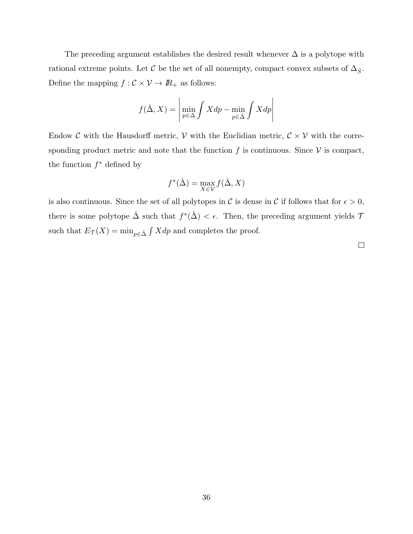The preceding argument establishes the desired result whenever  $\Delta$  is a polytope with rational extreme points. Let  $\mathcal C$  be the set of all nonempty, compact convex subsets of  $\Delta_{\hat S}$ . Define the mapping  $f:\mathcal{C}\times\mathcal{V}\rightarrow I\!\!R_{+}$  as follows:

$$
f(\hat{\Delta}, X) = \left| \min_{p \in \Delta} \int X dp - \min_{p \in \hat{\Delta}} \int X dp \right|
$$

Endow C with the Hausdorff metric,  $V$  with the Euclidian metric,  $C \times V$  with the corresponding product metric and note that the function f is continuous. Since  $V$  is compact, the function  $f^*$  defined by

$$
f^*(\hat{\Delta}) = \max_{X \in \mathcal{V}} f(\hat{\Delta}, X)
$$

is also continuous. Since the set of all polytopes in C is dense in C if follows that for  $\epsilon > 0$ , there is some polytope  $\hat{\Delta}$  such that  $f^*(\hat{\Delta}) < \epsilon$ . Then, the preceding argument yields 7 such that  $E_{\mathcal{T}}(X) = \min_{p \in \hat{\Delta}} \int X dp$  and completes the proof.

 $\Box$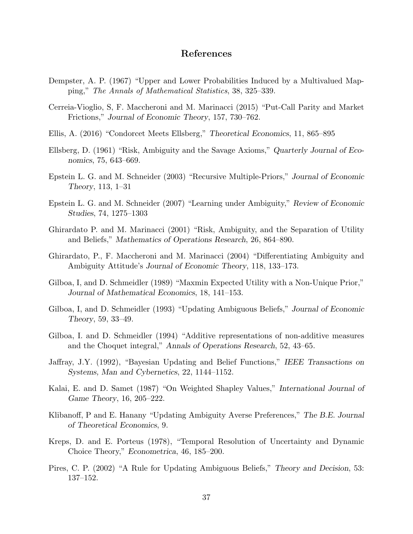### References

- Dempster, A. P. (1967) "Upper and Lower Probabilities Induced by a Multivalued Mapping," The Annals of Mathematical Statistics, 38, 325–339.
- Cerreia-Vioglio, S, F. Maccheroni and M. Marinacci (2015) "Put-Call Parity and Market Frictions," Journal of Economic Theory, 157, 730–762.
- Ellis, A. (2016) "Condorcet Meets Ellsberg," Theoretical Economics, 11, 865–895
- Ellsberg, D. (1961) "Risk, Ambiguity and the Savage Axioms," Quarterly Journal of Economics, 75, 643–669.
- Epstein L. G. and M. Schneider (2003) "Recursive Multiple-Priors," Journal of Economic Theory, 113, 1–31
- Epstein L. G. and M. Schneider (2007) "Learning under Ambiguity," Review of Economic Studies, 74, 1275–1303
- Ghirardato P. and M. Marinacci (2001) "Risk, Ambiguity, and the Separation of Utility and Beliefs," Mathematics of Operations Research, 26, 864–890.
- Ghirardato, P., F. Maccheroni and M. Marinacci (2004) "Differentiating Ambiguity and Ambiguity Attitude's Journal of Economic Theory, 118, 133–173.
- Gilboa, I, and D. Schmeidler (1989) "Maxmin Expected Utility with a Non-Unique Prior," Journal of Mathematical Economics, 18, 141–153.
- Gilboa, I, and D. Schmeidler (1993) "Updating Ambiguous Beliefs," Journal of Economic Theory, 59, 33–49.
- Gilboa, I. and D. Schmeidler (1994) "Additive representations of non-additive measures and the Choquet integral," Annals of Operations Research, 52, 43–65.
- Jaffray, J.Y. (1992), "Bayesian Updating and Belief Functions," IEEE Transactions on Systems, Man and Cybernetics, 22, 1144–1152.
- Kalai, E. and D. Samet (1987) "On Weighted Shapley Values," International Journal of Game Theory, 16, 205–222.
- Klibanoff, P and E. Hanany "Updating Ambiguity Averse Preferences," The B.E. Journal of Theoretical Economics, 9.
- Kreps, D. and E. Porteus (1978), "Temporal Resolution of Uncertainty and Dynamic Choice Theory," Econometrica, 46, 185–200.
- Pires, C. P. (2002) "A Rule for Updating Ambiguous Beliefs," Theory and Decision, 53: 137–152.